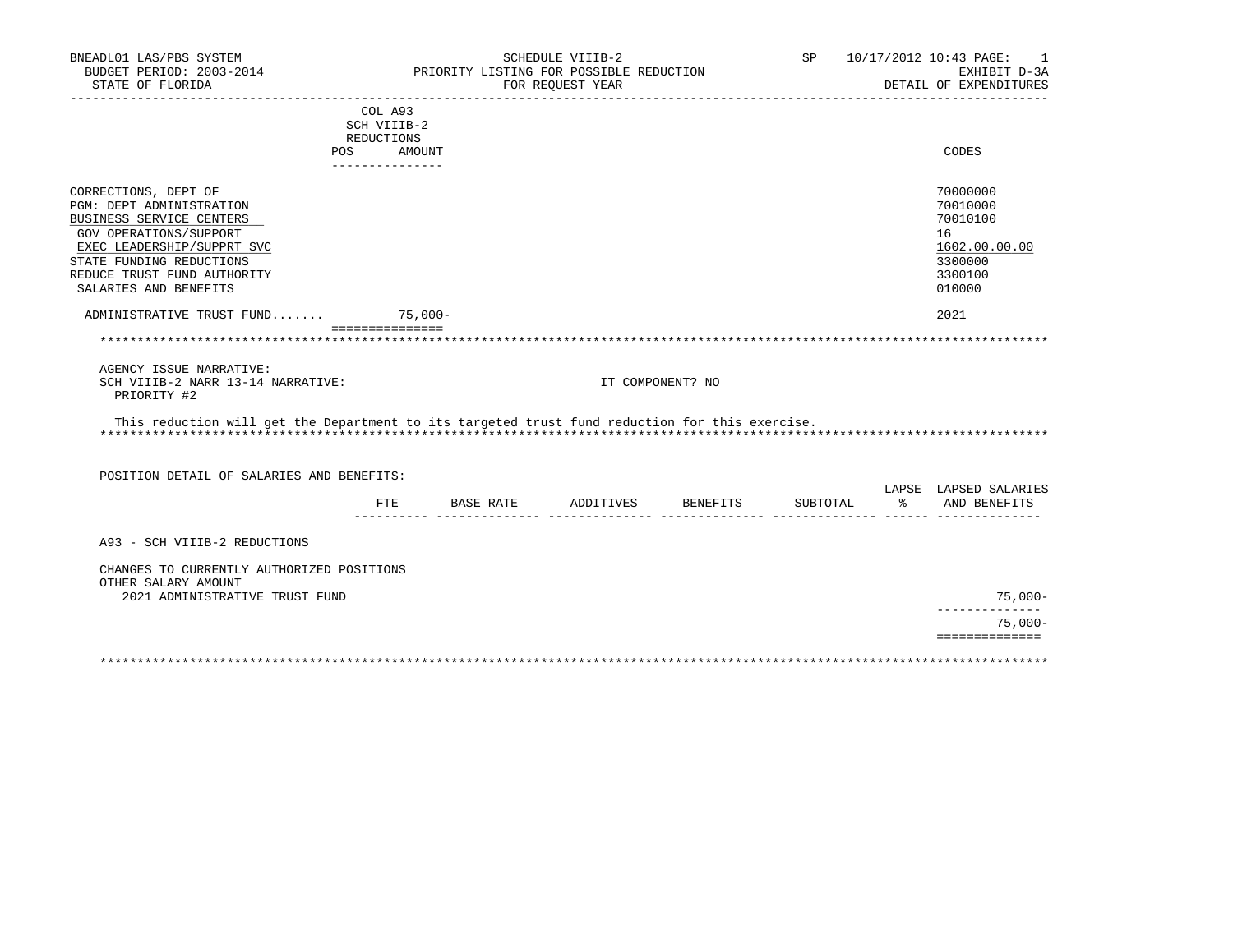| BUDGET PERIOD: 2003-2014<br>PRIORITY LISTING FOR POSSIBLE REDUCTION<br>EXHIBIT D-3A<br>STATE OF FLORIDA<br>DETAIL OF EXPENDITURES<br>FOR REQUEST YEAR<br>COL A93<br>SCH VIIIB-2<br>REDUCTIONS<br>AMOUNT<br>CODES<br><b>POS</b><br>---------------<br>70000000<br>CORRECTIONS, DEPT OF<br>PGM: DEPT ADMINISTRATION<br>70010000<br>BUSINESS SERVICE CENTERS<br>70010100<br>GOV OPERATIONS/SUPPORT<br>16<br>1602.00.00.00<br>EXEC LEADERSHIP/SUPPRT SVC<br>STATE FUNDING REDUCTIONS<br>3300000<br>REDUCE TRUST FUND AUTHORITY<br>3300100<br>SALARIES AND BENEFITS<br>010000<br>ADMINISTRATIVE TRUST FUND<br>75,000-<br>2021<br>===============<br>AGENCY ISSUE NARRATIVE:<br>SCH VIIIB-2 NARR 13-14 NARRATIVE:<br>IT COMPONENT? NO<br>PRIORITY #2<br>This reduction will get the Department to its targeted trust fund reduction for this exercise.<br>POSITION DETAIL OF SALARIES AND BENEFITS:<br>LAPSE LAPSED SALARIES<br>FTE BASE RATE ADDITIVES BENEFITS<br>SUBTOTAL<br>ော ေ<br>AND BENEFITS<br>A93 - SCH VIIIB-2 REDUCTIONS<br>CHANGES TO CURRENTLY AUTHORIZED POSITIONS<br>OTHER SALARY AMOUNT<br>$75,000-$<br>2021 ADMINISTRATIVE TRUST FUND<br>$75,000-$<br>============== | BNEADL01 LAS/PBS SYSTEM |  | SCHEDULE VIIIB-2 |  | SP 10/17/2012 10:43 PAGE:<br>$\sim$ 1 |
|----------------------------------------------------------------------------------------------------------------------------------------------------------------------------------------------------------------------------------------------------------------------------------------------------------------------------------------------------------------------------------------------------------------------------------------------------------------------------------------------------------------------------------------------------------------------------------------------------------------------------------------------------------------------------------------------------------------------------------------------------------------------------------------------------------------------------------------------------------------------------------------------------------------------------------------------------------------------------------------------------------------------------------------------------------------------------------------------------------------------------------------------------------------------------------|-------------------------|--|------------------|--|---------------------------------------|
|                                                                                                                                                                                                                                                                                                                                                                                                                                                                                                                                                                                                                                                                                                                                                                                                                                                                                                                                                                                                                                                                                                                                                                                  |                         |  |                  |  |                                       |
|                                                                                                                                                                                                                                                                                                                                                                                                                                                                                                                                                                                                                                                                                                                                                                                                                                                                                                                                                                                                                                                                                                                                                                                  |                         |  |                  |  |                                       |
|                                                                                                                                                                                                                                                                                                                                                                                                                                                                                                                                                                                                                                                                                                                                                                                                                                                                                                                                                                                                                                                                                                                                                                                  |                         |  |                  |  |                                       |
|                                                                                                                                                                                                                                                                                                                                                                                                                                                                                                                                                                                                                                                                                                                                                                                                                                                                                                                                                                                                                                                                                                                                                                                  |                         |  |                  |  |                                       |
|                                                                                                                                                                                                                                                                                                                                                                                                                                                                                                                                                                                                                                                                                                                                                                                                                                                                                                                                                                                                                                                                                                                                                                                  |                         |  |                  |  |                                       |
|                                                                                                                                                                                                                                                                                                                                                                                                                                                                                                                                                                                                                                                                                                                                                                                                                                                                                                                                                                                                                                                                                                                                                                                  |                         |  |                  |  |                                       |
|                                                                                                                                                                                                                                                                                                                                                                                                                                                                                                                                                                                                                                                                                                                                                                                                                                                                                                                                                                                                                                                                                                                                                                                  |                         |  |                  |  |                                       |
|                                                                                                                                                                                                                                                                                                                                                                                                                                                                                                                                                                                                                                                                                                                                                                                                                                                                                                                                                                                                                                                                                                                                                                                  |                         |  |                  |  |                                       |
|                                                                                                                                                                                                                                                                                                                                                                                                                                                                                                                                                                                                                                                                                                                                                                                                                                                                                                                                                                                                                                                                                                                                                                                  |                         |  |                  |  |                                       |
|                                                                                                                                                                                                                                                                                                                                                                                                                                                                                                                                                                                                                                                                                                                                                                                                                                                                                                                                                                                                                                                                                                                                                                                  |                         |  |                  |  |                                       |
|                                                                                                                                                                                                                                                                                                                                                                                                                                                                                                                                                                                                                                                                                                                                                                                                                                                                                                                                                                                                                                                                                                                                                                                  |                         |  |                  |  |                                       |
|                                                                                                                                                                                                                                                                                                                                                                                                                                                                                                                                                                                                                                                                                                                                                                                                                                                                                                                                                                                                                                                                                                                                                                                  |                         |  |                  |  |                                       |
|                                                                                                                                                                                                                                                                                                                                                                                                                                                                                                                                                                                                                                                                                                                                                                                                                                                                                                                                                                                                                                                                                                                                                                                  |                         |  |                  |  |                                       |
|                                                                                                                                                                                                                                                                                                                                                                                                                                                                                                                                                                                                                                                                                                                                                                                                                                                                                                                                                                                                                                                                                                                                                                                  |                         |  |                  |  |                                       |
|                                                                                                                                                                                                                                                                                                                                                                                                                                                                                                                                                                                                                                                                                                                                                                                                                                                                                                                                                                                                                                                                                                                                                                                  |                         |  |                  |  |                                       |
|                                                                                                                                                                                                                                                                                                                                                                                                                                                                                                                                                                                                                                                                                                                                                                                                                                                                                                                                                                                                                                                                                                                                                                                  |                         |  |                  |  |                                       |
|                                                                                                                                                                                                                                                                                                                                                                                                                                                                                                                                                                                                                                                                                                                                                                                                                                                                                                                                                                                                                                                                                                                                                                                  |                         |  |                  |  |                                       |
|                                                                                                                                                                                                                                                                                                                                                                                                                                                                                                                                                                                                                                                                                                                                                                                                                                                                                                                                                                                                                                                                                                                                                                                  |                         |  |                  |  |                                       |
|                                                                                                                                                                                                                                                                                                                                                                                                                                                                                                                                                                                                                                                                                                                                                                                                                                                                                                                                                                                                                                                                                                                                                                                  |                         |  |                  |  |                                       |
|                                                                                                                                                                                                                                                                                                                                                                                                                                                                                                                                                                                                                                                                                                                                                                                                                                                                                                                                                                                                                                                                                                                                                                                  |                         |  |                  |  |                                       |
|                                                                                                                                                                                                                                                                                                                                                                                                                                                                                                                                                                                                                                                                                                                                                                                                                                                                                                                                                                                                                                                                                                                                                                                  |                         |  |                  |  |                                       |
|                                                                                                                                                                                                                                                                                                                                                                                                                                                                                                                                                                                                                                                                                                                                                                                                                                                                                                                                                                                                                                                                                                                                                                                  |                         |  |                  |  |                                       |
|                                                                                                                                                                                                                                                                                                                                                                                                                                                                                                                                                                                                                                                                                                                                                                                                                                                                                                                                                                                                                                                                                                                                                                                  |                         |  |                  |  |                                       |
|                                                                                                                                                                                                                                                                                                                                                                                                                                                                                                                                                                                                                                                                                                                                                                                                                                                                                                                                                                                                                                                                                                                                                                                  |                         |  |                  |  |                                       |
|                                                                                                                                                                                                                                                                                                                                                                                                                                                                                                                                                                                                                                                                                                                                                                                                                                                                                                                                                                                                                                                                                                                                                                                  |                         |  |                  |  |                                       |
|                                                                                                                                                                                                                                                                                                                                                                                                                                                                                                                                                                                                                                                                                                                                                                                                                                                                                                                                                                                                                                                                                                                                                                                  |                         |  |                  |  |                                       |
|                                                                                                                                                                                                                                                                                                                                                                                                                                                                                                                                                                                                                                                                                                                                                                                                                                                                                                                                                                                                                                                                                                                                                                                  |                         |  |                  |  |                                       |
|                                                                                                                                                                                                                                                                                                                                                                                                                                                                                                                                                                                                                                                                                                                                                                                                                                                                                                                                                                                                                                                                                                                                                                                  |                         |  |                  |  |                                       |
|                                                                                                                                                                                                                                                                                                                                                                                                                                                                                                                                                                                                                                                                                                                                                                                                                                                                                                                                                                                                                                                                                                                                                                                  |                         |  |                  |  |                                       |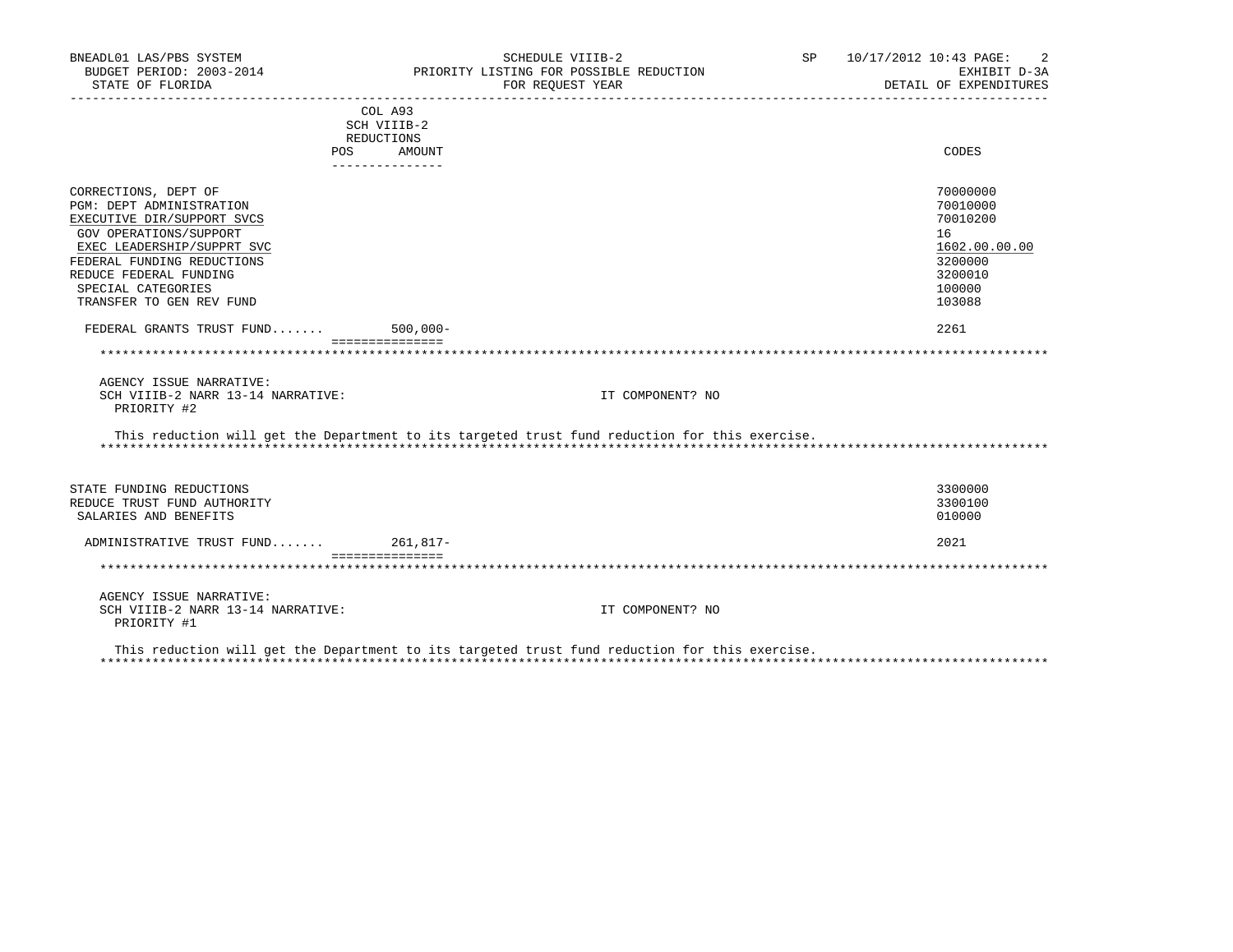| BNEADL01 LAS/PBS SYSTEM<br>BUDGET PERIOD: 2003-2014<br>STATE OF FLORIDA |                           | SCHEDULE VIIIB-2<br>PRIORITY LISTING FOR POSSIBLE REDUCTION<br>FOR REOUEST YEAR                | SP <sub>2</sub> | 10/17/2012 10:43 PAGE:<br>2<br>EXHIBIT D-3A<br>DETAIL OF EXPENDITURES |
|-------------------------------------------------------------------------|---------------------------|------------------------------------------------------------------------------------------------|-----------------|-----------------------------------------------------------------------|
|                                                                         | COL A93                   |                                                                                                |                 |                                                                       |
|                                                                         | SCH VIIIB-2               |                                                                                                |                 |                                                                       |
|                                                                         | REDUCTIONS                |                                                                                                |                 |                                                                       |
| <b>POS</b>                                                              | AMOUNT<br>--------------- |                                                                                                |                 | CODES                                                                 |
| CORRECTIONS, DEPT OF                                                    |                           |                                                                                                |                 | 70000000                                                              |
| PGM: DEPT ADMINISTRATION                                                |                           |                                                                                                |                 | 70010000                                                              |
| EXECUTIVE DIR/SUPPORT SVCS                                              |                           |                                                                                                |                 | 70010200                                                              |
| GOV OPERATIONS/SUPPORT                                                  |                           |                                                                                                |                 | 16                                                                    |
| EXEC LEADERSHIP/SUPPRT SVC                                              |                           |                                                                                                |                 | 1602.00.00.00                                                         |
| FEDERAL FUNDING REDUCTIONS                                              |                           |                                                                                                |                 | 3200000                                                               |
| REDUCE FEDERAL FUNDING                                                  |                           |                                                                                                |                 | 3200010                                                               |
| SPECIAL CATEGORIES                                                      |                           |                                                                                                |                 | 100000                                                                |
| TRANSFER TO GEN REV FUND                                                |                           |                                                                                                |                 | 103088                                                                |
| FEDERAL GRANTS TRUST FUND                                               | $500,000 -$               |                                                                                                |                 | 2261                                                                  |
|                                                                         | ===============           |                                                                                                |                 |                                                                       |
|                                                                         |                           |                                                                                                |                 |                                                                       |
| AGENCY ISSUE NARRATIVE:                                                 |                           |                                                                                                |                 |                                                                       |
| SCH VIIIB-2 NARR 13-14 NARRATIVE:<br>PRIORITY #2                        |                           | IT COMPONENT? NO                                                                               |                 |                                                                       |
|                                                                         |                           | This reduction will get the Department to its targeted trust fund reduction for this exercise. |                 |                                                                       |
|                                                                         |                           |                                                                                                |                 |                                                                       |
| STATE FUNDING REDUCTIONS                                                |                           |                                                                                                |                 | 3300000                                                               |
| REDUCE TRUST FUND AUTHORITY                                             |                           |                                                                                                |                 | 3300100                                                               |
| SALARIES AND BENEFITS                                                   |                           |                                                                                                |                 | 010000                                                                |
| ADMINISTRATIVE TRUST FUND 261,817-                                      |                           |                                                                                                |                 | 2021                                                                  |
|                                                                         | ===============           |                                                                                                |                 |                                                                       |
| AGENCY ISSUE NARRATIVE:                                                 |                           |                                                                                                |                 |                                                                       |
| SCH VIIIB-2 NARR 13-14 NARRATIVE:<br>PRIORITY #1                        |                           | IT COMPONENT? NO                                                                               |                 |                                                                       |
|                                                                         |                           | This reduction will get the Department to its targeted trust fund reduction for this exercise. |                 |                                                                       |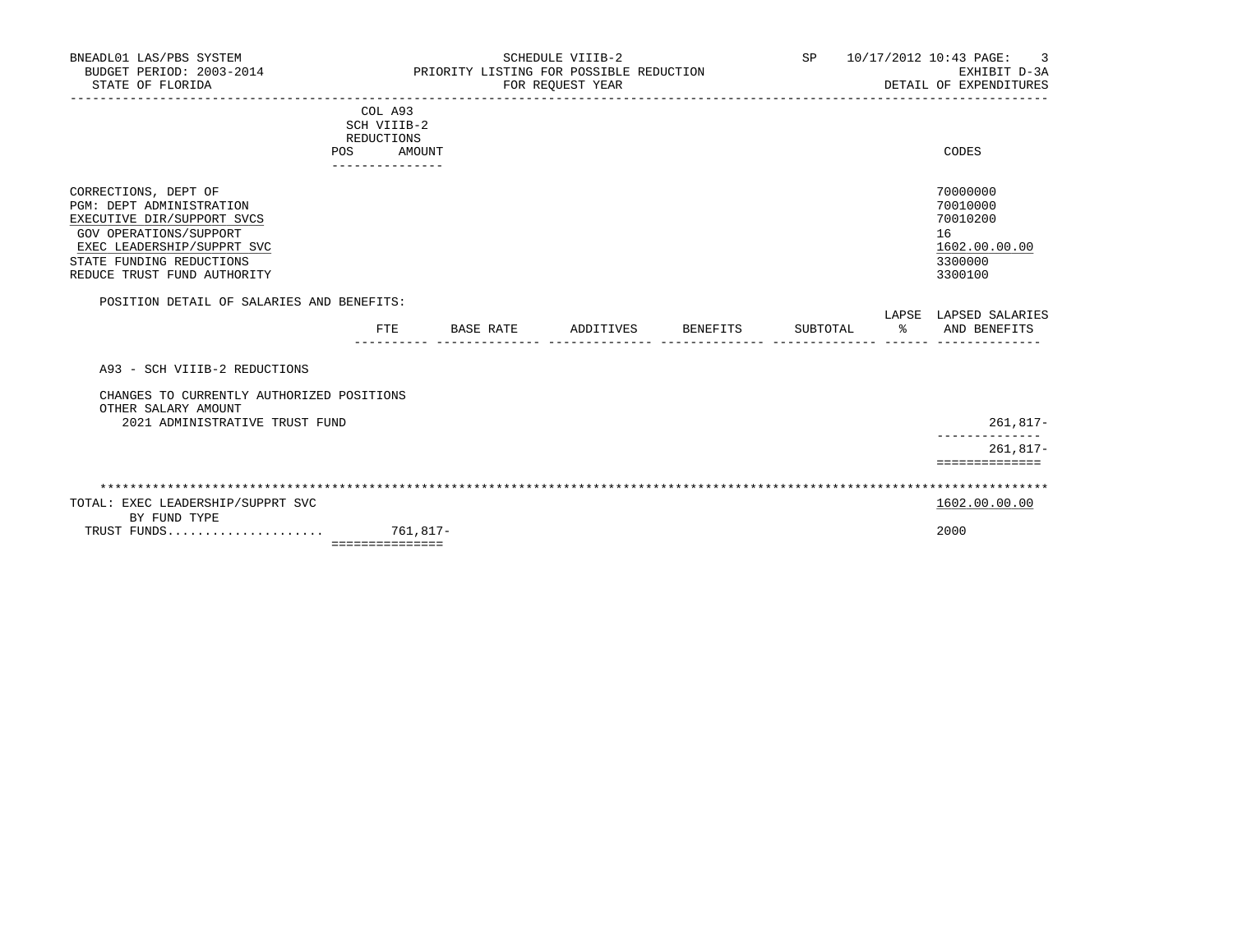| BNEADL01 LAS/PBS SYSTEM<br>BUDGET PERIOD: 2003-2014<br>STATE OF FLORIDA                                                                                                                           |                                                |           | SCHEDULE VIIIB-2<br>PRIORITY LISTING FOR POSSIBLE REDUCTION<br>FOR REOUEST YEAR |          | SP 10/17/2012 10:43 PAGE: 3<br>EXHIBIT D-3A<br>DETAIL OF EXPENDITURES         |
|---------------------------------------------------------------------------------------------------------------------------------------------------------------------------------------------------|------------------------------------------------|-----------|---------------------------------------------------------------------------------|----------|-------------------------------------------------------------------------------|
| POS                                                                                                                                                                                               | COL A93<br>SCH VIIIB-2<br>REDUCTIONS<br>AMOUNT |           |                                                                                 |          | CODES                                                                         |
| CORRECTIONS, DEPT OF<br>PGM: DEPT ADMINISTRATION<br>EXECUTIVE DIR/SUPPORT SVCS<br>GOV OPERATIONS/SUPPORT<br>EXEC LEADERSHIP/SUPPRT SVC<br>STATE FUNDING REDUCTIONS<br>REDUCE TRUST FUND AUTHORITY | . _ _ _ _ _ _ _ _ _ _ _ _ _ _                  |           |                                                                                 |          | 70000000<br>70010000<br>70010200<br>16<br>1602.00.00.00<br>3300000<br>3300100 |
| POSITION DETAIL OF SALARIES AND BENEFITS:                                                                                                                                                         |                                                |           |                                                                                 |          | LAPSE LAPSED SALARIES                                                         |
|                                                                                                                                                                                                   | FTE                                            | BASE RATE | ADDITIVES BENEFITS                                                              | SUBTOTAL | % AND BENEFITS                                                                |
| A93 - SCH VIIIB-2 REDUCTIONS                                                                                                                                                                      |                                                |           |                                                                                 |          |                                                                               |
| CHANGES TO CURRENTLY AUTHORIZED POSITIONS<br>OTHER SALARY AMOUNT<br>2021 ADMINISTRATIVE TRUST FUND                                                                                                |                                                |           |                                                                                 |          | 261,817-                                                                      |
|                                                                                                                                                                                                   |                                                |           |                                                                                 |          | $261.817 -$<br>==============                                                 |
|                                                                                                                                                                                                   |                                                |           |                                                                                 |          |                                                                               |
| TOTAL: EXEC LEADERSHIP/SUPPRT SVC<br>BY FUND TYPE                                                                                                                                                 |                                                |           |                                                                                 |          | 1602.00.00.00                                                                 |
|                                                                                                                                                                                                   | ===============                                |           |                                                                                 |          | 2000                                                                          |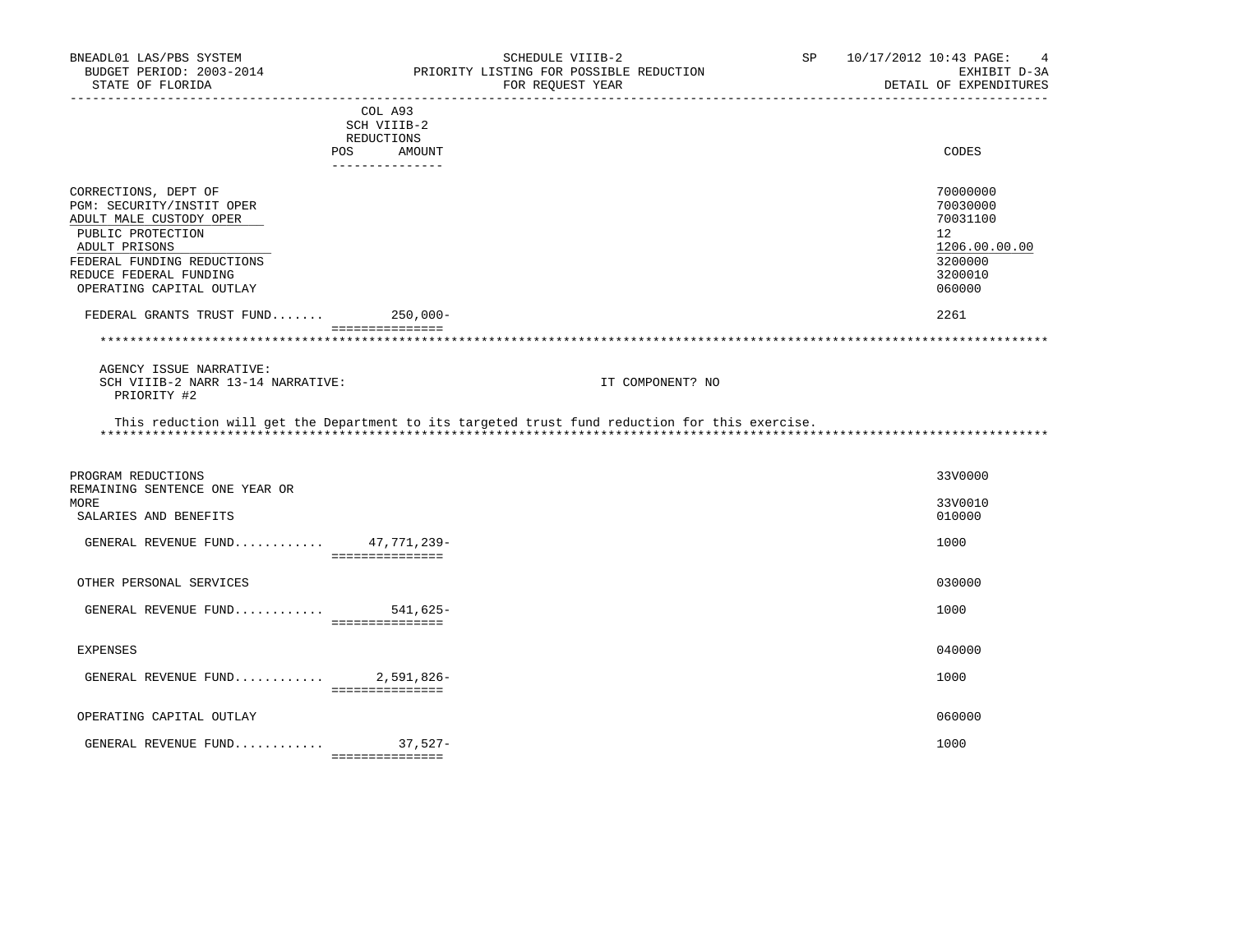| BNEADL01 LAS/PBS SYSTEM<br>BUDGET PERIOD: 2003-2014<br>STATE OF FLORIDA                                                                                                                                                             |                                                                       | SCHEDULE VIIIB-2<br>PRIORITY LISTING FOR POSSIBLE REDUCTION<br>FOR REOUEST YEAR                                    | SP | 10/17/2012 10:43 PAGE:<br>$\overline{4}$<br>EXHIBIT D-3A<br>DETAIL OF EXPENDITURES                           |
|-------------------------------------------------------------------------------------------------------------------------------------------------------------------------------------------------------------------------------------|-----------------------------------------------------------------------|--------------------------------------------------------------------------------------------------------------------|----|--------------------------------------------------------------------------------------------------------------|
|                                                                                                                                                                                                                                     | COL A93<br>SCH VIIIB-2<br>REDUCTIONS<br>POS AMOUNT<br>--------------- |                                                                                                                    |    | CODES                                                                                                        |
| CORRECTIONS, DEPT OF<br>PGM: SECURITY/INSTIT OPER<br>ADULT MALE CUSTODY OPER<br>PUBLIC PROTECTION<br>ADULT PRISONS<br>FEDERAL FUNDING REDUCTIONS<br>REDUCE FEDERAL FUNDING<br>OPERATING CAPITAL OUTLAY<br>FEDERAL GRANTS TRUST FUND | $250,000-$                                                            |                                                                                                                    |    | 70000000<br>70030000<br>70031100<br>12 <sup>°</sup><br>1206.00.00.00<br>3200000<br>3200010<br>060000<br>2261 |
|                                                                                                                                                                                                                                     | ----------------                                                      |                                                                                                                    |    |                                                                                                              |
| AGENCY ISSUE NARRATIVE:<br>SCH VIIIB-2 NARR 13-14 NARRATIVE:<br>PRIORITY #2                                                                                                                                                         |                                                                       | IT COMPONENT? NO<br>This reduction will get the Department to its targeted trust fund reduction for this exercise. |    |                                                                                                              |
| PROGRAM REDUCTIONS<br>REMAINING SENTENCE ONE YEAR OR<br>MORE<br>SALARIES AND BENEFITS                                                                                                                                               |                                                                       |                                                                                                                    |    | 33V0000<br>33V0010<br>010000                                                                                 |
| GENERAL REVENUE FUND $47,771,239-$                                                                                                                                                                                                  | ===============                                                       |                                                                                                                    |    | 1000                                                                                                         |
| OTHER PERSONAL SERVICES<br>GENERAL REVENUE FUND 541,625-                                                                                                                                                                            | ================                                                      |                                                                                                                    |    | 030000<br>1000                                                                                               |
| <b>EXPENSES</b>                                                                                                                                                                                                                     |                                                                       |                                                                                                                    |    | 040000                                                                                                       |
| GENERAL REVENUE FUND $2,591,826-$                                                                                                                                                                                                   |                                                                       |                                                                                                                    |    | 1000                                                                                                         |
| OPERATING CAPITAL OUTLAY                                                                                                                                                                                                            | ===============                                                       |                                                                                                                    |    | 060000                                                                                                       |
| GENERAL REVENUE FUND 37,527-                                                                                                                                                                                                        | ----------------                                                      |                                                                                                                    |    | 1000                                                                                                         |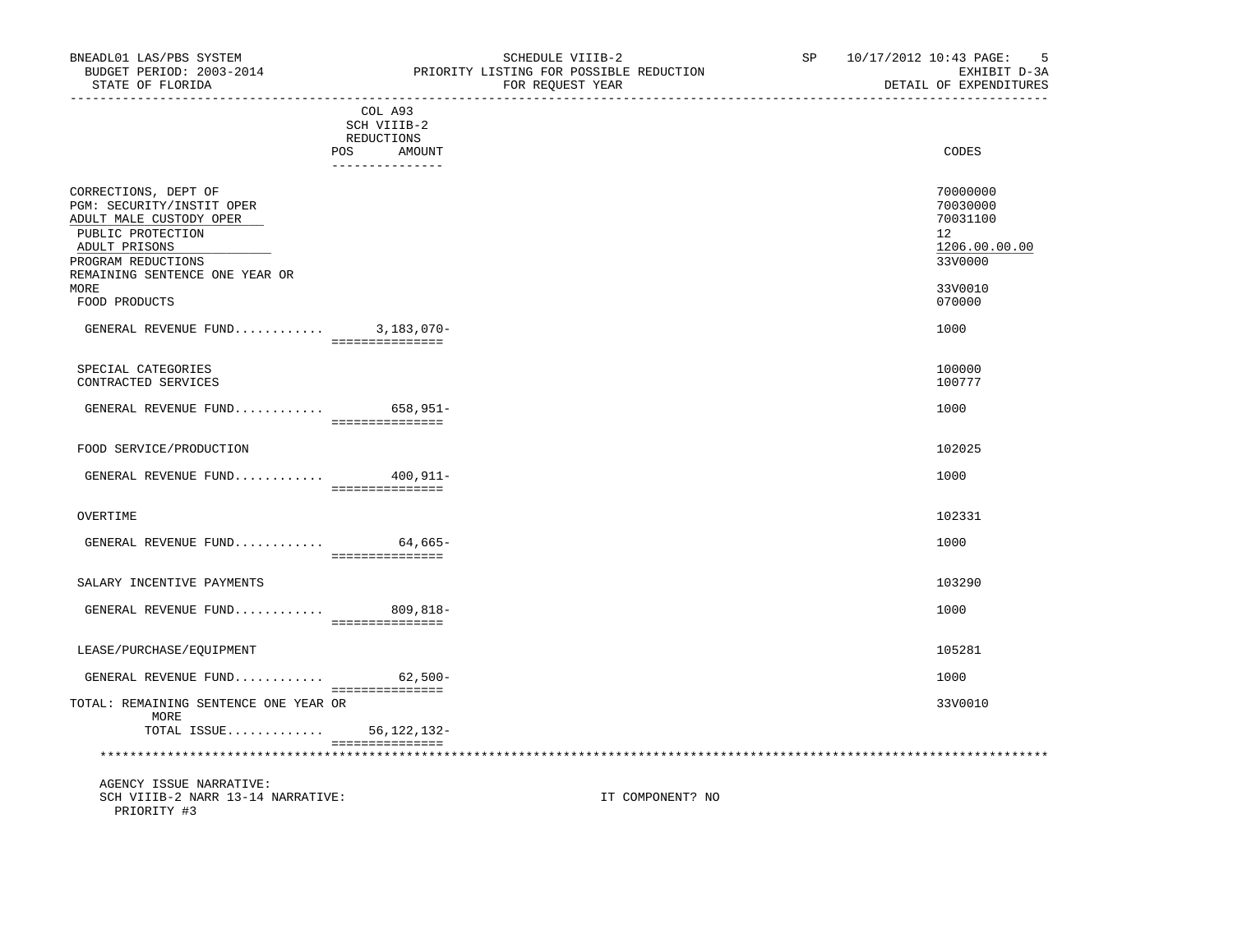| STATE OF FLORIDA                                                                                                                                                                                    | FOR REQUEST YEAR | DETAIL OF EXPENDITURES                                                                  |
|-----------------------------------------------------------------------------------------------------------------------------------------------------------------------------------------------------|------------------|-----------------------------------------------------------------------------------------|
| COL A93<br>SCH VIIIB-2<br>REDUCTIONS<br>POS<br>. _ _ _ _ _ _ _ _ _ _ _ _ _ _                                                                                                                        | AMOUNT           | CODES                                                                                   |
| CORRECTIONS, DEPT OF<br>PGM: SECURITY/INSTIT OPER<br>ADULT MALE CUSTODY OPER<br>PUBLIC PROTECTION<br>ADULT PRISONS<br>PROGRAM REDUCTIONS<br>REMAINING SENTENCE ONE YEAR OR<br>MORE<br>FOOD PRODUCTS |                  | 70000000<br>70030000<br>70031100<br>12<br>1206.00.00.00<br>33V0000<br>33V0010<br>070000 |
| GENERAL REVENUE FUND 3,183,070-<br>===============                                                                                                                                                  |                  | 1000                                                                                    |
| SPECIAL CATEGORIES<br>CONTRACTED SERVICES                                                                                                                                                           |                  | 100000<br>100777                                                                        |
| GENERAL REVENUE FUND 658,951-<br>===============                                                                                                                                                    |                  | 1000                                                                                    |
| FOOD SERVICE/PRODUCTION                                                                                                                                                                             |                  | 102025                                                                                  |

| עזדי T<br><b>GENERAL</b><br><b>REVENITE</b><br>. | - 0 0                                                  | 100L |
|--------------------------------------------------|--------------------------------------------------------|------|
|                                                  | ________________<br>_______________<br>--------------- |      |
|                                                  |                                                        |      |

## OVERTIME 102331

| GENERAL<br>REVENUE<br>$\texttt{FUND} \dots \dots \dots \dots$ | $ -$<br>-665                       | 1000 |
|---------------------------------------------------------------|------------------------------------|------|
|                                                               | _______________<br>--------------- |      |
|                                                               |                                    |      |

# SALARY INCENTIVE PAYMENTS 103290

| REVENUF<br>GENERAL<br>$\texttt{FUND} \dots \dots \dots \dots$<br>◡∸ | n n c.<br>$\overline{\phantom{a}}$<br>יי | 100 <sub>c</sub> |
|---------------------------------------------------------------------|------------------------------------------|------------------|
|                                                                     | _______________<br>________________      |                  |

## LEASE/PURCHASE/EQUIPMENT 105281

| GENERAL REVENUE FUND                  | $62,500-$ | 1000 |
|---------------------------------------|-----------|------|
|                                       |           |      |
| TOTAL: REMAINING SENTENCE ONE YEAR OR |           | 33V0 |
| MORE                                  |           |      |

 TOTAL: REMAINING SENTENCE ONE YEAR OR 33V0010 TOTAL ISSUE............. 56,122,132-

## =============== \*\*\*\*\*\*\*\*\*\*\*\*\*\*\*\*\*\*\*\*\*\*\*\*\*\*\*\*\*\*\*\*\*\*\*\*\*\*\*\*\*\*\*\*\*\*\*\*\*\*\*\*\*\*\*\*\*\*\*\*\*\*\*\*\*\*\*\*\*\*\*\*\*\*\*\*\*\*\*\*\*\*\*\*\*\*\*\*\*\*\*\*\*\*\*\*\*\*\*\*\*\*\*\*\*\*\*\*\*\*\*\*\*\*\*\*\*\*\*\*\*\*\*\*\*\*\*

 AGENCY ISSUE NARRATIVE: SCH VIIIB-2 NARR 13-14 NARRATIVE: IT COMPONENT? NO PRIORITY #3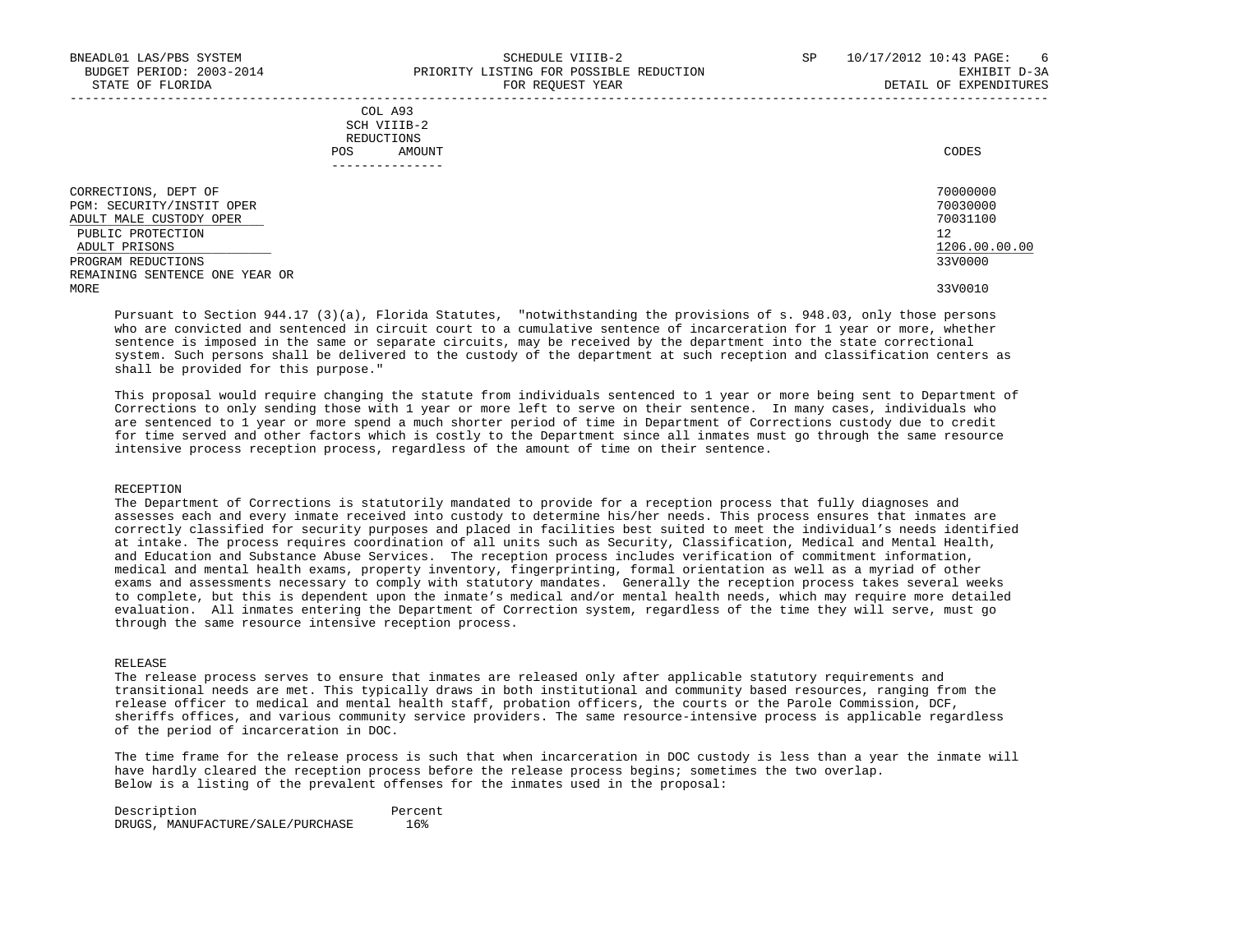|            | _______________ |       |
|------------|-----------------|-------|
| POS        | AMOUNT          | CODES |
| REDUCTIONS |                 |       |
|            | SCH VIIIB-2     |       |
|            | COL A93         |       |

| CORRECTIONS,<br>DEPT OF        | 70000000      |
|--------------------------------|---------------|
| PGM: SECURITY/INSTIT OPER      | 70030000      |
| ADULT MALE CUSTODY OPER        | 70031100      |
| PUBLIC PROTECTION              | 12            |
| ADULT PRISONS                  | 1206.00.00.00 |
| PROGRAM REDUCTIONS             | 33V0000       |
| REMAINING SENTENCE ONE YEAR OR |               |
| MORE                           | 33V0010       |

 Pursuant to Section 944.17 (3)(a), Florida Statutes, "notwithstanding the provisions of s. 948.03, only those persons who are convicted and sentenced in circuit court to a cumulative sentence of incarceration for 1 year or more, whether sentence is imposed in the same or separate circuits, may be received by the department into the state correctional system. Such persons shall be delivered to the custody of the department at such reception and classification centers as shall be provided for this purpose."

 This proposal would require changing the statute from individuals sentenced to 1 year or more being sent to Department of Corrections to only sending those with 1 year or more left to serve on their sentence. In many cases, individuals who are sentenced to 1 year or more spend a much shorter period of time in Department of Corrections custody due to credit for time served and other factors which is costly to the Department since all inmates must go through the same resource intensive process reception process, regardless of the amount of time on their sentence.

#### RECEPTION

 The Department of Corrections is statutorily mandated to provide for a reception process that fully diagnoses and assesses each and every inmate received into custody to determine his/her needs. This process ensures that inmates are correctly classified for security purposes and placed in facilities best suited to meet the individual's needs identified at intake. The process requires coordination of all units such as Security, Classification, Medical and Mental Health, and Education and Substance Abuse Services. The reception process includes verification of commitment information, medical and mental health exams, property inventory, fingerprinting, formal orientation as well as a myriad of other exams and assessments necessary to comply with statutory mandates. Generally the reception process takes several weeks to complete, but this is dependent upon the inmate's medical and/or mental health needs, which may require more detailed evaluation. All inmates entering the Department of Correction system, regardless of the time they will serve, must go through the same resource intensive reception process.

## RELEASE

 The release process serves to ensure that inmates are released only after applicable statutory requirements and transitional needs are met. This typically draws in both institutional and community based resources, ranging from the release officer to medical and mental health staff, probation officers, the courts or the Parole Commission, DCF, sheriffs offices, and various community service providers. The same resource-intensive process is applicable regardless of the period of incarceration in DOC.

 The time frame for the release process is such that when incarceration in DOC custody is less than a year the inmate will have hardly cleared the reception process before the release process begins; sometimes the two overlap. Below is a listing of the prevalent offenses for the inmates used in the proposal:

 Description Percent DRUGS, MANUFACTURE/SALE/PURCHASE 16%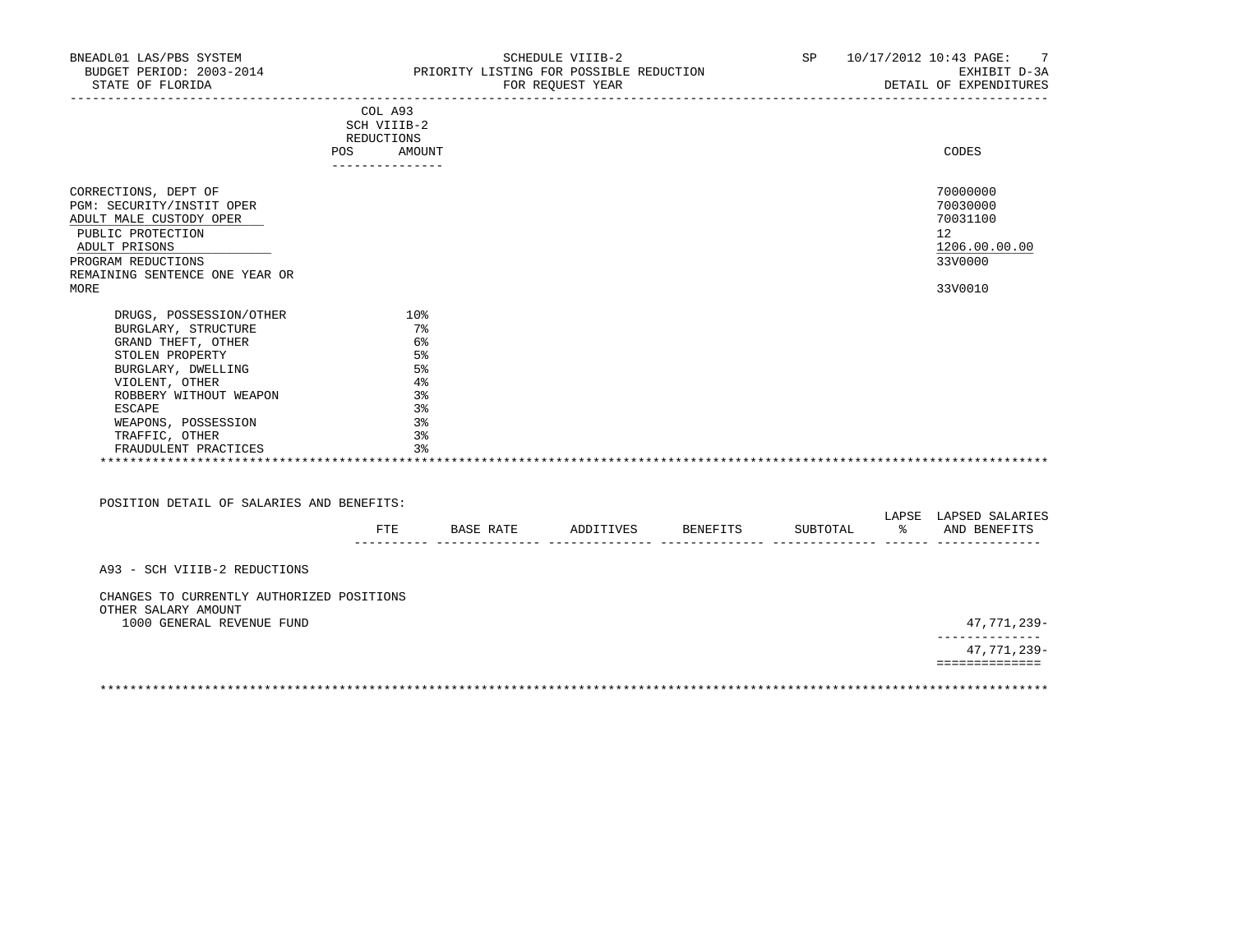| BNEADL01 LAS/PBS SYSTEM<br>BUDGET PERIOD: 2003-2014 PRIORITY LISTING FOR POSSIBLE REDUCTION<br>STATE OF FLORIDA                                                                    |                                      |                                  | SCHEDULE VIIIB-2<br>FOR REQUEST YEAR |          | SP 10/17/2012 10:43 PAGE: 7<br>EXHIBIT D-3A<br>DETAIL OF EXPENDITURES         |
|------------------------------------------------------------------------------------------------------------------------------------------------------------------------------------|--------------------------------------|----------------------------------|--------------------------------------|----------|-------------------------------------------------------------------------------|
|                                                                                                                                                                                    | COL A93<br>SCH VIIIB-2<br>REDUCTIONS |                                  |                                      |          |                                                                               |
|                                                                                                                                                                                    | POS AMOUNT<br>_______________        |                                  |                                      |          | CODES                                                                         |
| CORRECTIONS, DEPT OF<br>PGM: SECURITY/INSTIT OPER<br>ADULT MALE CUSTODY OPER<br>PUBLIC PROTECTION<br>ADULT PRISONS<br>PROGRAM REDUCTIONS<br>REMAINING SENTENCE ONE YEAR OR<br>MORE |                                      |                                  |                                      |          | 70000000<br>70030000<br>70031100<br>12<br>1206.00.00.00<br>33V0000<br>33V0010 |
| DRUGS, POSSESSION/OTHER<br>BURGLARY, STRUCTURE<br>GRAND THEFT, OTHER<br>STOLEN PROPERTY                                                                                            | 10 <sup>8</sup><br>7%<br>- 6%<br>5%  |                                  |                                      |          |                                                                               |
| BURGLARY, DWELLING<br>VIOLENT, OTHER<br>ROBBERY WITHOUT WEAPON                                                                                                                     | 5%<br>$4\%$<br>3%                    |                                  |                                      |          |                                                                               |
| ESCAPE<br>WEAPONS, POSSESSION<br>TRAFFIC, OTHER<br>FRAUDULENT PRACTICES                                                                                                            | 3%<br>3%<br>3%                       | 3%                               |                                      |          |                                                                               |
| POSITION DETAIL OF SALARIES AND BENEFITS:                                                                                                                                          |                                      |                                  |                                      |          | LAPSE LAPSED SALARIES                                                         |
|                                                                                                                                                                                    |                                      | FTE BASE RATE ADDITIVES BENEFITS |                                      | SUBTOTAL | % AND BENEFITS                                                                |
| A93 - SCH VIIIB-2 REDUCTIONS                                                                                                                                                       |                                      |                                  |                                      |          |                                                                               |
| CHANGES TO CURRENTLY AUTHORIZED POSITIONS<br>OTHER SALARY AMOUNT<br>1000 GENERAL REVENUE FUND                                                                                      |                                      |                                  |                                      |          | 47,771,239-                                                                   |
|                                                                                                                                                                                    |                                      |                                  |                                      |          | --------------<br>47,771,239-                                                 |
|                                                                                                                                                                                    |                                      |                                  |                                      |          | ==============                                                                |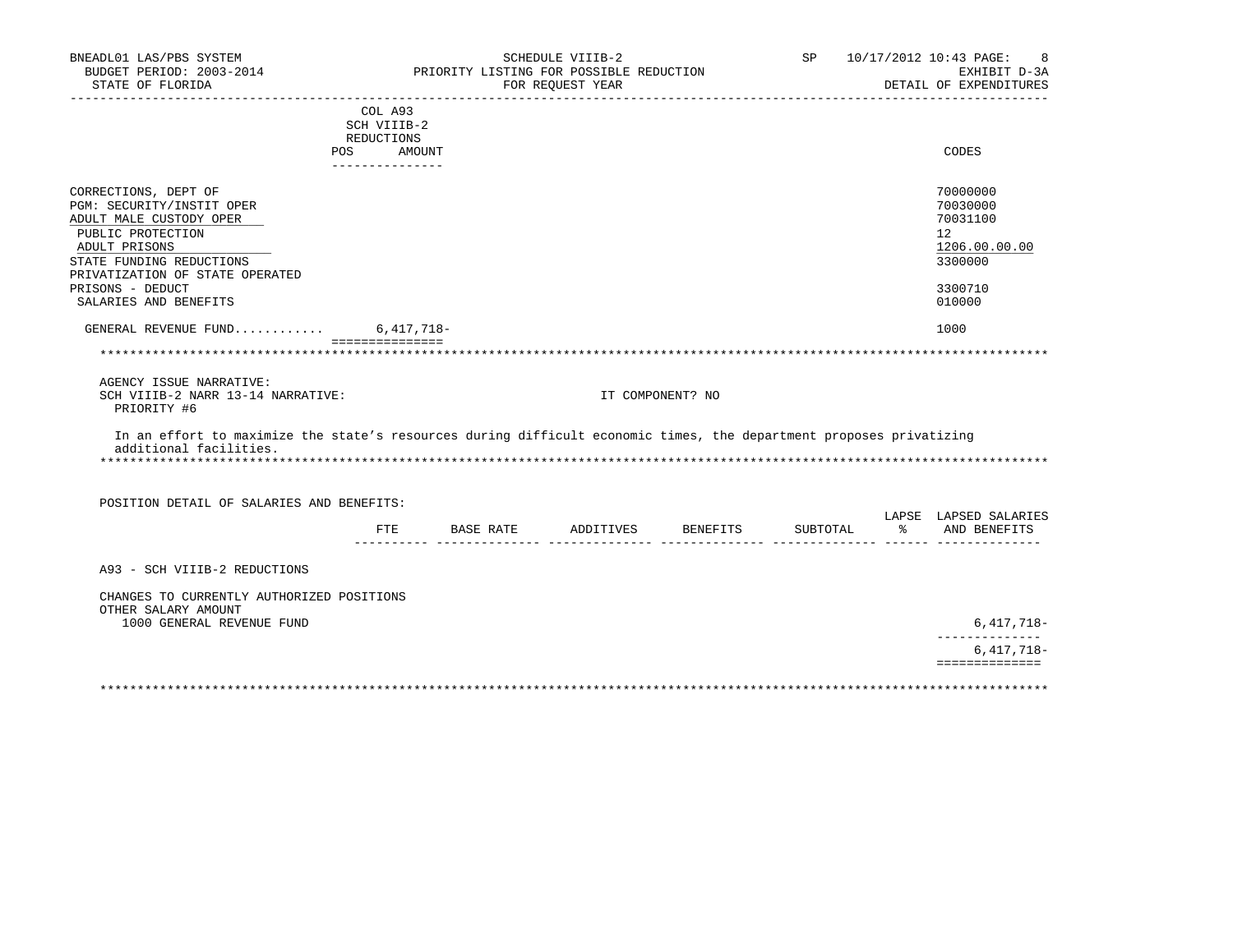| BNEADL01 LAS/PBS SYSTEM<br>BUDGET PERIOD: 2003-2014<br>STATE OF FLORIDA                                                                       |                                         | PRIORITY LISTING FOR POSSIBLE REDUCTION | SCHEDULE VIIIB-2<br>FOR REQUEST YEAR |                  |          | ____________________ | SP 10/17/2012 10:43 PAGE:<br>8<br>EXHIBIT D-3A<br>DETAIL OF EXPENDITURES |
|-----------------------------------------------------------------------------------------------------------------------------------------------|-----------------------------------------|-----------------------------------------|--------------------------------------|------------------|----------|----------------------|--------------------------------------------------------------------------|
|                                                                                                                                               | COL A93<br>SCH VIIIB-2                  |                                         |                                      |                  |          |                      |                                                                          |
|                                                                                                                                               | REDUCTIONS                              |                                         |                                      |                  |          |                      |                                                                          |
|                                                                                                                                               | <b>POS</b><br>AMOUNT<br>_______________ |                                         |                                      |                  |          |                      | CODES                                                                    |
| CORRECTIONS, DEPT OF                                                                                                                          |                                         |                                         |                                      |                  |          |                      | 70000000                                                                 |
| PGM: SECURITY/INSTIT OPER                                                                                                                     |                                         |                                         |                                      |                  |          |                      | 70030000                                                                 |
| ADULT MALE CUSTODY OPER                                                                                                                       |                                         |                                         |                                      |                  |          |                      | 70031100                                                                 |
| PUBLIC PROTECTION                                                                                                                             |                                         |                                         |                                      |                  |          |                      | 12 <sup>°</sup>                                                          |
| ADULT PRISONS                                                                                                                                 |                                         |                                         |                                      |                  |          |                      | 1206.00.00.00                                                            |
| STATE FUNDING REDUCTIONS<br>PRIVATIZATION OF STATE OPERATED                                                                                   |                                         |                                         |                                      |                  |          |                      | 3300000                                                                  |
| PRISONS - DEDUCT                                                                                                                              |                                         |                                         |                                      |                  |          |                      | 3300710                                                                  |
| SALARIES AND BENEFITS                                                                                                                         |                                         |                                         |                                      |                  |          |                      | 010000                                                                   |
| GENERAL REVENUE FUND 6,417,718-                                                                                                               |                                         |                                         |                                      |                  |          |                      | 1000                                                                     |
|                                                                                                                                               | ===============                         |                                         |                                      |                  |          |                      |                                                                          |
|                                                                                                                                               |                                         |                                         |                                      |                  |          |                      |                                                                          |
| AGENCY ISSUE NARRATIVE:<br>SCH VIIIB-2 NARR 13-14 NARRATIVE:<br>PRIORITY #6                                                                   |                                         |                                         |                                      | IT COMPONENT? NO |          |                      |                                                                          |
| In an effort to maximize the state's resources during difficult economic times, the department proposes privatizing<br>additional facilities. |                                         |                                         |                                      |                  |          |                      |                                                                          |
| POSITION DETAIL OF SALARIES AND BENEFITS:                                                                                                     |                                         |                                         |                                      |                  |          |                      |                                                                          |
|                                                                                                                                               | FTE                                     | BASE RATE ADDITIVES BENEFITS            |                                      |                  | SUBTOTAL |                      | LAPSE LAPSED SALARIES<br>% AND BENEFITS                                  |
| A93 - SCH VIIIB-2 REDUCTIONS                                                                                                                  |                                         |                                         |                                      |                  |          |                      |                                                                          |
|                                                                                                                                               |                                         |                                         |                                      |                  |          |                      |                                                                          |
| CHANGES TO CURRENTLY AUTHORIZED POSITIONS<br>OTHER SALARY AMOUNT                                                                              |                                         |                                         |                                      |                  |          |                      |                                                                          |
| 1000 GENERAL REVENUE FUND                                                                                                                     |                                         |                                         |                                      |                  |          |                      | $6,417,718-$<br>--------------                                           |
|                                                                                                                                               |                                         |                                         |                                      |                  |          |                      | $6,417,718-$                                                             |
|                                                                                                                                               |                                         |                                         |                                      |                  |          |                      | ==============                                                           |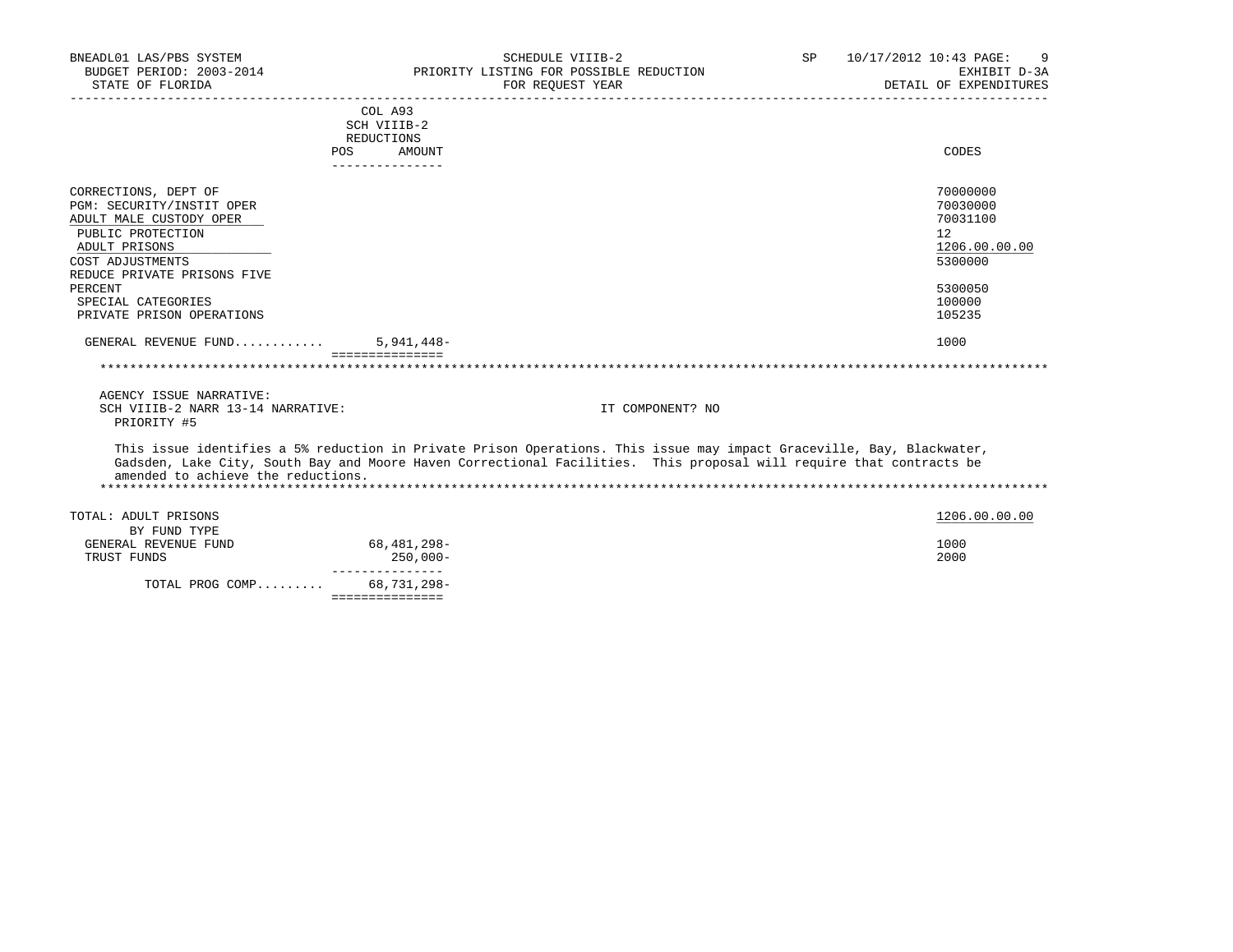| BNEADL01 LAS/PBS SYSTEM<br>BUDGET PERIOD: 2003-2014<br>STATE OF FLORIDA                                                                                                                                                             | SCHEDULE VIIIB-2<br>PRIORITY LISTING FOR POSSIBLE REDUCTION<br>FOR REQUEST YEAR                                                                                                                                                              | SP | 10/17/2012 10:43 PAGE:<br>9<br>EXHIBIT D-3A<br>DETAIL OF EXPENDITURES                             |
|-------------------------------------------------------------------------------------------------------------------------------------------------------------------------------------------------------------------------------------|----------------------------------------------------------------------------------------------------------------------------------------------------------------------------------------------------------------------------------------------|----|---------------------------------------------------------------------------------------------------|
|                                                                                                                                                                                                                                     | COL A93<br>SCH VIIIB-2<br>REDUCTIONS<br>POS AMOUNT<br>_______________                                                                                                                                                                        |    | CODES                                                                                             |
| CORRECTIONS, DEPT OF<br>PGM: SECURITY/INSTIT OPER<br>ADULT MALE CUSTODY OPER<br>PUBLIC PROTECTION<br>ADULT PRISONS<br>COST ADJUSTMENTS<br>REDUCE PRIVATE PRISONS FIVE<br>PERCENT<br>SPECIAL CATEGORIES<br>PRIVATE PRISON OPERATIONS |                                                                                                                                                                                                                                              |    | 70000000<br>70030000<br>70031100<br>12<br>1206.00.00.00<br>5300000<br>5300050<br>100000<br>105235 |
| GENERAL REVENUE FUND                                                                                                                                                                                                                | $5,941,448-$<br>================                                                                                                                                                                                                             |    | 1000                                                                                              |
| AGENCY ISSUE NARRATIVE:<br>SCH VIIIB-2 NARR 13-14 NARRATIVE:<br>PRIORITY #5                                                                                                                                                         | IT COMPONENT? NO                                                                                                                                                                                                                             |    |                                                                                                   |
| amended to achieve the reductions.                                                                                                                                                                                                  | This issue identifies a 5% reduction in Private Prison Operations. This issue may impact Graceville, Bay, Blackwater,<br>Gadsden, Lake City, South Bay and Moore Haven Correctional Facilities. This proposal will require that contracts be |    |                                                                                                   |
| TOTAL: ADULT PRISONS<br>BY FUND TYPE<br>GENERAL REVENUE FUND<br>TRUST FUNDS                                                                                                                                                         | 68,481,298-<br>250,000-                                                                                                                                                                                                                      |    | 1206.00.00.00<br>1000<br>2000                                                                     |
| TOTAL PROG COMP                                                                                                                                                                                                                     | ----------------<br>68,731,298-<br>===============                                                                                                                                                                                           |    |                                                                                                   |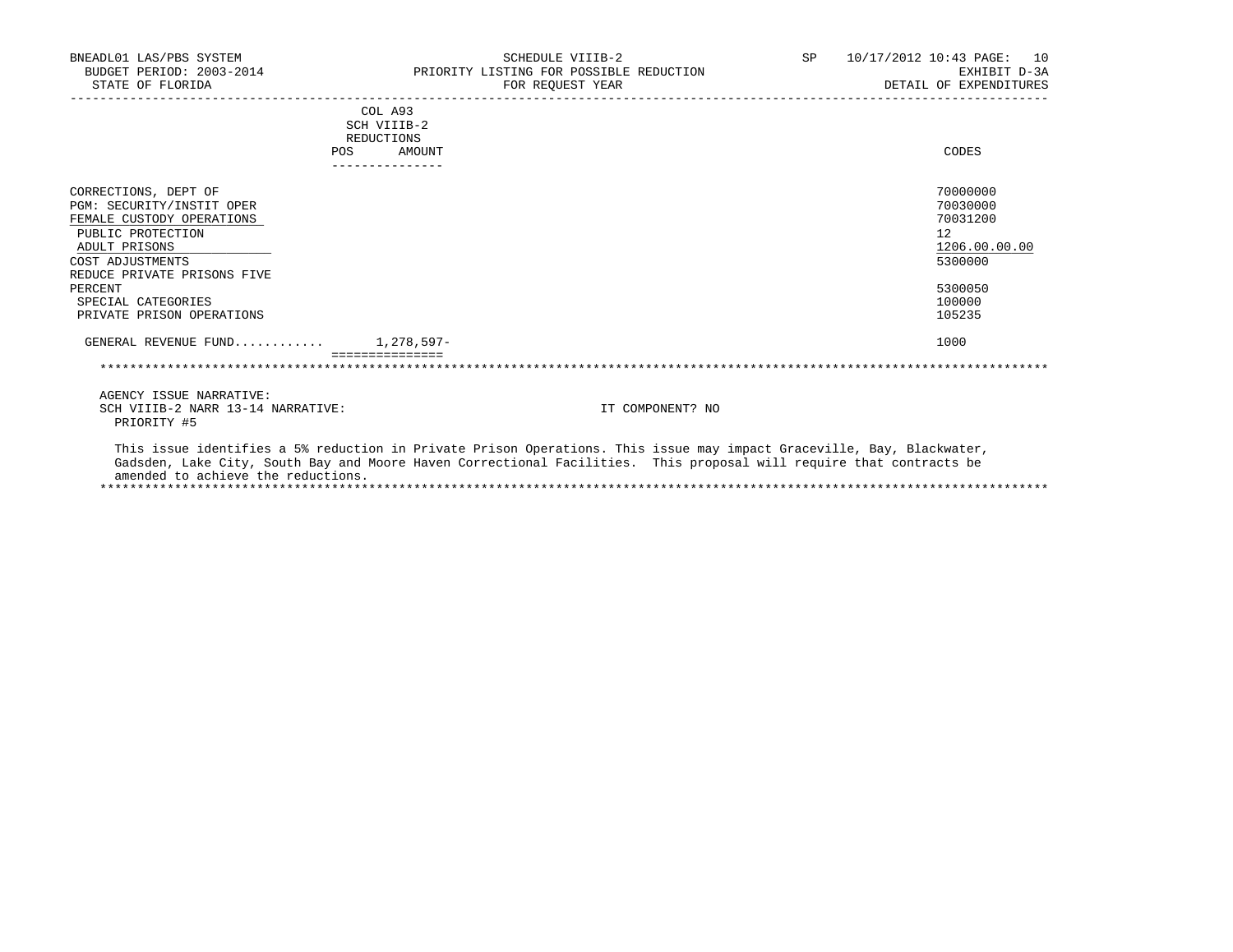| BNEADL01 LAS/PBS SYSTEM<br>BUDGET PERIOD: 2003-2014<br>STATE OF FLORIDA                                                                                                                                                                      |                        | SCHEDULE VIIIB-2<br>PRIORITY LISTING FOR POSSIBLE REDUCTION<br>FOR REOUEST YEAR | SP <sub>2</sub> | 10/17/2012 10:43 PAGE: 10<br>EXHIBIT D-3A<br>DETAIL OF EXPENDITURES                               |
|----------------------------------------------------------------------------------------------------------------------------------------------------------------------------------------------------------------------------------------------|------------------------|---------------------------------------------------------------------------------|-----------------|---------------------------------------------------------------------------------------------------|
|                                                                                                                                                                                                                                              | COL A93<br>SCH VIIIB-2 |                                                                                 |                 |                                                                                                   |
|                                                                                                                                                                                                                                              | <b>REDUCTIONS</b>      |                                                                                 |                 |                                                                                                   |
| POS.                                                                                                                                                                                                                                         | AMOUNT                 |                                                                                 |                 | CODES                                                                                             |
|                                                                                                                                                                                                                                              |                        |                                                                                 |                 |                                                                                                   |
| CORRECTIONS, DEPT OF<br>PGM: SECURITY/INSTIT OPER<br>FEMALE CUSTODY OPERATIONS<br>PUBLIC PROTECTION<br>ADULT PRISONS<br>COST ADJUSTMENTS<br>REDUCE PRIVATE PRISONS FIVE<br>PERCENT<br>SPECIAL CATEGORIES<br>PRIVATE PRISON OPERATIONS        |                        |                                                                                 |                 | 70000000<br>70030000<br>70031200<br>12<br>1206.00.00.00<br>5300000<br>5300050<br>100000<br>105235 |
| GENERAL REVENUE FUND $1.278.597-$                                                                                                                                                                                                            |                        |                                                                                 |                 | 1000                                                                                              |
|                                                                                                                                                                                                                                              |                        |                                                                                 |                 |                                                                                                   |
| AGENCY ISSUE NARRATIVE:                                                                                                                                                                                                                      |                        |                                                                                 |                 |                                                                                                   |
| SCH VIIIB-2 NARR 13-14 NARRATIVE:<br>PRIORITY #5                                                                                                                                                                                             |                        | IT COMPONENT? NO                                                                |                 |                                                                                                   |
| This issue identifies a 5% reduction in Private Prison Operations. This issue may impact Graceville, Bay, Blackwater,<br>Gadsden, Lake City, South Bay and Moore Haven Correctional Facilities. This proposal will require that contracts be |                        |                                                                                 |                 |                                                                                                   |

amended to achieve the reductions.

\*\*\*\*\*\*\*\*\*\*\*\*\*\*\*\*\*\*\*\*\*\*\*\*\*\*\*\*\*\*\*\*\*\*\*\*\*\*\*\*\*\*\*\*\*\*\*\*\*\*\*\*\*\*\*\*\*\*\*\*\*\*\*\*\*\*\*\*\*\*\*\*\*\*\*\*\*\*\*\*\*\*\*\*\*\*\*\*\*\*\*\*\*\*\*\*\*\*\*\*\*\*\*\*\*\*\*\*\*\*\*\*\*\*\*\*\*\*\*\*\*\*\*\*\*\*\*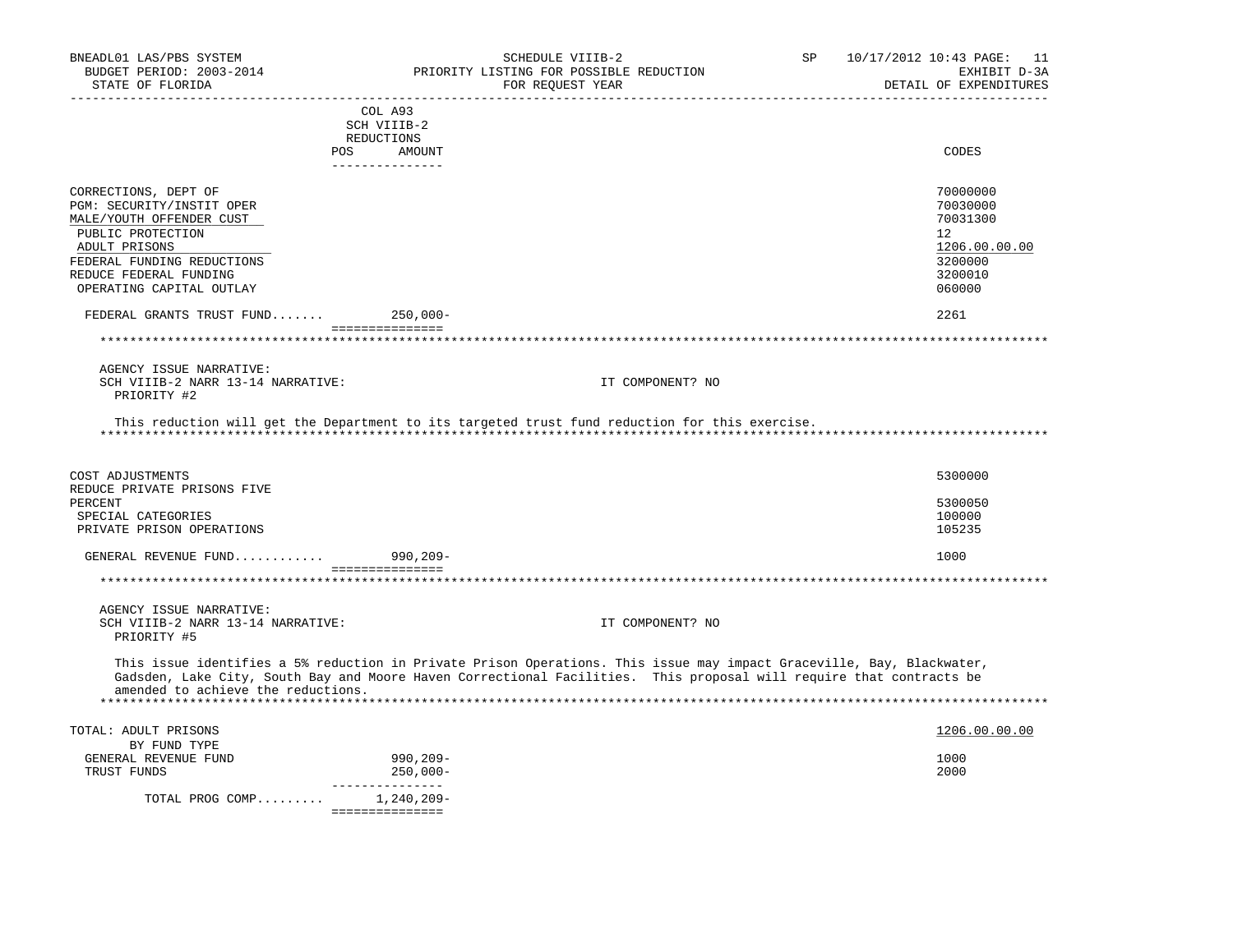| BNEADL01 LAS/PBS SYSTEM<br>BUDGET PERIOD: 2003-2014<br>STATE OF FLORIDA | SCHEDULE VIIIB-2<br>PRIORITY LISTING FOR POSSIBLE REDUCTION<br>FOR REQUEST YEAR                                                                                                                                                              | SP | 10/17/2012 10:43 PAGE: 11<br>EXHIBIT D-3A<br>DETAIL OF EXPENDITURES |
|-------------------------------------------------------------------------|----------------------------------------------------------------------------------------------------------------------------------------------------------------------------------------------------------------------------------------------|----|---------------------------------------------------------------------|
|                                                                         | COL A93                                                                                                                                                                                                                                      |    |                                                                     |
|                                                                         | SCH VIIIB-2                                                                                                                                                                                                                                  |    |                                                                     |
| POS                                                                     | REDUCTIONS<br>AMOUNT                                                                                                                                                                                                                         |    | CODES                                                               |
|                                                                         | _______________                                                                                                                                                                                                                              |    |                                                                     |
| CORRECTIONS, DEPT OF                                                    |                                                                                                                                                                                                                                              |    | 70000000                                                            |
| PGM: SECURITY/INSTIT OPER                                               |                                                                                                                                                                                                                                              |    | 70030000                                                            |
| MALE/YOUTH OFFENDER CUST                                                |                                                                                                                                                                                                                                              |    | 70031300                                                            |
| PUBLIC PROTECTION                                                       |                                                                                                                                                                                                                                              |    | 12                                                                  |
| ADULT PRISONS                                                           |                                                                                                                                                                                                                                              |    | 1206.00.00.00                                                       |
| FEDERAL FUNDING REDUCTIONS                                              |                                                                                                                                                                                                                                              |    | 3200000                                                             |
| REDUCE FEDERAL FUNDING                                                  |                                                                                                                                                                                                                                              |    | 3200010                                                             |
| OPERATING CAPITAL OUTLAY                                                |                                                                                                                                                                                                                                              |    | 060000                                                              |
| FEDERAL GRANTS TRUST FUND                                               | 250,000-<br>-----------------                                                                                                                                                                                                                |    | 2261                                                                |
| ***********************                                                 |                                                                                                                                                                                                                                              |    |                                                                     |
| AGENCY ISSUE NARRATIVE:                                                 |                                                                                                                                                                                                                                              |    |                                                                     |
| SCH VIIIB-2 NARR 13-14 NARRATIVE:<br>PRIORITY #2                        | IT COMPONENT? NO                                                                                                                                                                                                                             |    |                                                                     |
| COST ADJUSTMENTS                                                        |                                                                                                                                                                                                                                              |    | 5300000                                                             |
| REDUCE PRIVATE PRISONS FIVE                                             |                                                                                                                                                                                                                                              |    |                                                                     |
| PERCENT<br>SPECIAL CATEGORIES                                           |                                                                                                                                                                                                                                              |    | 5300050<br>100000                                                   |
| PRIVATE PRISON OPERATIONS                                               |                                                                                                                                                                                                                                              |    | 105235                                                              |
|                                                                         |                                                                                                                                                                                                                                              |    |                                                                     |
| GENERAL REVENUE FUND 990,209-                                           | ===============                                                                                                                                                                                                                              |    | 1000                                                                |
|                                                                         |                                                                                                                                                                                                                                              |    |                                                                     |
| AGENCY ISSUE NARRATIVE:                                                 |                                                                                                                                                                                                                                              |    |                                                                     |
| SCH VIIIB-2 NARR 13-14 NARRATIVE:<br>PRIORITY #5                        | IT COMPONENT? NO                                                                                                                                                                                                                             |    |                                                                     |
| amended to achieve the reductions.                                      | This issue identifies a 5% reduction in Private Prison Operations. This issue may impact Graceville, Bay, Blackwater,<br>Gadsden, Lake City, South Bay and Moore Haven Correctional Facilities. This proposal will require that contracts be |    |                                                                     |
|                                                                         |                                                                                                                                                                                                                                              |    |                                                                     |
| TOTAL: ADULT PRISONS                                                    |                                                                                                                                                                                                                                              |    | 1206.00.00.00                                                       |
| BY FUND TYPE                                                            |                                                                                                                                                                                                                                              |    |                                                                     |
| GENERAL REVENUE FUND<br>TRUST FUNDS                                     | 990,209-<br>$250,000 -$                                                                                                                                                                                                                      |    | 1000<br>2000                                                        |
|                                                                         | ---------------                                                                                                                                                                                                                              |    |                                                                     |
| TOTAL PROG COMP 1,240,209-                                              | ===============                                                                                                                                                                                                                              |    |                                                                     |
|                                                                         |                                                                                                                                                                                                                                              |    |                                                                     |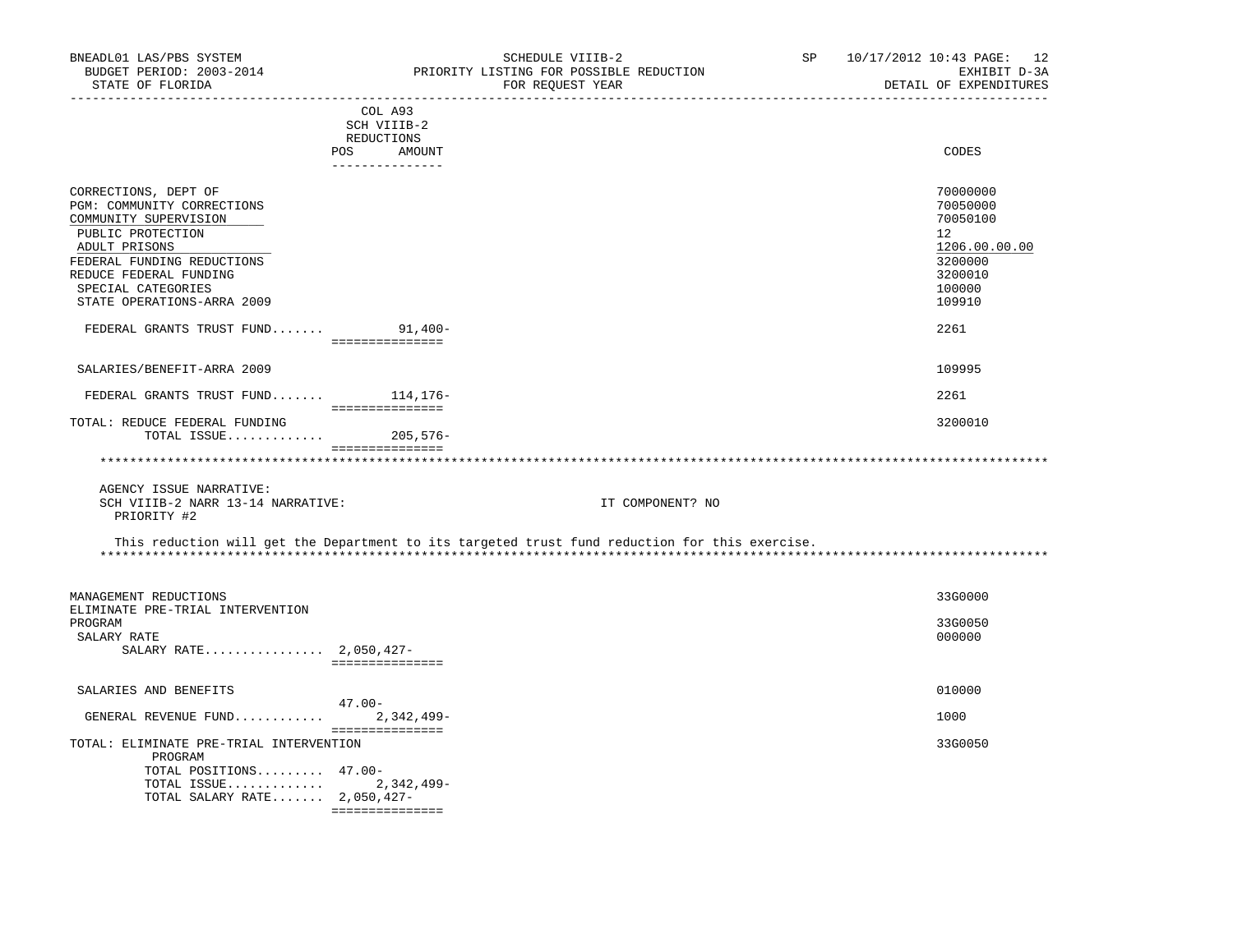| BNEADL01 LAS/PBS SYSTEM<br>BUDGET PERIOD: 2003-2014<br>STATE OF FLORIDA                                                                                                                                                       | SCHEDULE VIIIB-2<br>PRIORITY LISTING FOR POSSIBLE REDUCTION<br>FOR REQUEST YEAR                                                                                                                                                | SP | 10/17/2012 10:43 PAGE: 12<br>EXHIBIT D-3A<br>DETAIL OF EXPENDITURES                               |
|-------------------------------------------------------------------------------------------------------------------------------------------------------------------------------------------------------------------------------|--------------------------------------------------------------------------------------------------------------------------------------------------------------------------------------------------------------------------------|----|---------------------------------------------------------------------------------------------------|
|                                                                                                                                                                                                                               | COL A93<br>SCH VIIIB-2                                                                                                                                                                                                         |    |                                                                                                   |
|                                                                                                                                                                                                                               | REDUCTIONS                                                                                                                                                                                                                     |    |                                                                                                   |
|                                                                                                                                                                                                                               | POS AMOUNT<br>_______________                                                                                                                                                                                                  |    | CODES                                                                                             |
| CORRECTIONS, DEPT OF<br>PGM: COMMUNITY CORRECTIONS<br>COMMUNITY SUPERVISION<br>PUBLIC PROTECTION<br>ADULT PRISONS<br>FEDERAL FUNDING REDUCTIONS<br>REDUCE FEDERAL FUNDING<br>SPECIAL CATEGORIES<br>STATE OPERATIONS-ARRA 2009 |                                                                                                                                                                                                                                |    | 70000000<br>70050000<br>70050100<br>12<br>1206.00.00.00<br>3200000<br>3200010<br>100000<br>109910 |
| FEDERAL GRANTS TRUST FUND 91,400-                                                                                                                                                                                             | ===============                                                                                                                                                                                                                |    | 2261                                                                                              |
|                                                                                                                                                                                                                               |                                                                                                                                                                                                                                |    |                                                                                                   |
| SALARIES/BENEFIT-ARRA 2009                                                                                                                                                                                                    |                                                                                                                                                                                                                                |    | 109995                                                                                            |
| FEDERAL GRANTS TRUST FUND 114,176-                                                                                                                                                                                            | ================                                                                                                                                                                                                               |    | 2261                                                                                              |
| TOTAL: REDUCE FEDERAL FUNDING                                                                                                                                                                                                 |                                                                                                                                                                                                                                |    | 3200010                                                                                           |
| TOTAL ISSUE 205,576-                                                                                                                                                                                                          | and a consequence of the consequence of the consequence of the consequence of the consequence of the consequence of the consequence of the consequence of the consequence of the consequence of the consequence of the consequ |    |                                                                                                   |
|                                                                                                                                                                                                                               |                                                                                                                                                                                                                                |    |                                                                                                   |
| AGENCY ISSUE NARRATIVE:<br>SCH VIIIB-2 NARR 13-14 NARRATIVE:<br>PRIORITY #2                                                                                                                                                   | IT COMPONENT? NO                                                                                                                                                                                                               |    |                                                                                                   |
|                                                                                                                                                                                                                               | This reduction will get the Department to its targeted trust fund reduction for this exercise.                                                                                                                                 |    |                                                                                                   |
| MANAGEMENT REDUCTIONS<br>ELIMINATE PRE-TRIAL INTERVENTION                                                                                                                                                                     |                                                                                                                                                                                                                                |    | 33G0000                                                                                           |
| PROGRAM                                                                                                                                                                                                                       |                                                                                                                                                                                                                                |    | 33G0050                                                                                           |
| SALARY RATE<br>SALARY RATE 2,050,427-                                                                                                                                                                                         | ________________                                                                                                                                                                                                               |    | 000000                                                                                            |
| SALARIES AND BENEFITS                                                                                                                                                                                                         |                                                                                                                                                                                                                                |    | 010000                                                                                            |
|                                                                                                                                                                                                                               | 47.00-                                                                                                                                                                                                                         |    |                                                                                                   |
| GENERAL REVENUE FUND $2,342,499-$                                                                                                                                                                                             | ===============                                                                                                                                                                                                                |    | 1000                                                                                              |
| TOTAL: ELIMINATE PRE-TRIAL INTERVENTION<br>PROGRAM                                                                                                                                                                            |                                                                                                                                                                                                                                |    | 33G0050                                                                                           |
| TOTAL POSITIONS 47.00-<br>TOTAL ISSUE 2,342,499-                                                                                                                                                                              |                                                                                                                                                                                                                                |    |                                                                                                   |
| TOTAL SALARY RATE $2,050,427-$                                                                                                                                                                                                |                                                                                                                                                                                                                                |    |                                                                                                   |
|                                                                                                                                                                                                                               | ---------------                                                                                                                                                                                                                |    |                                                                                                   |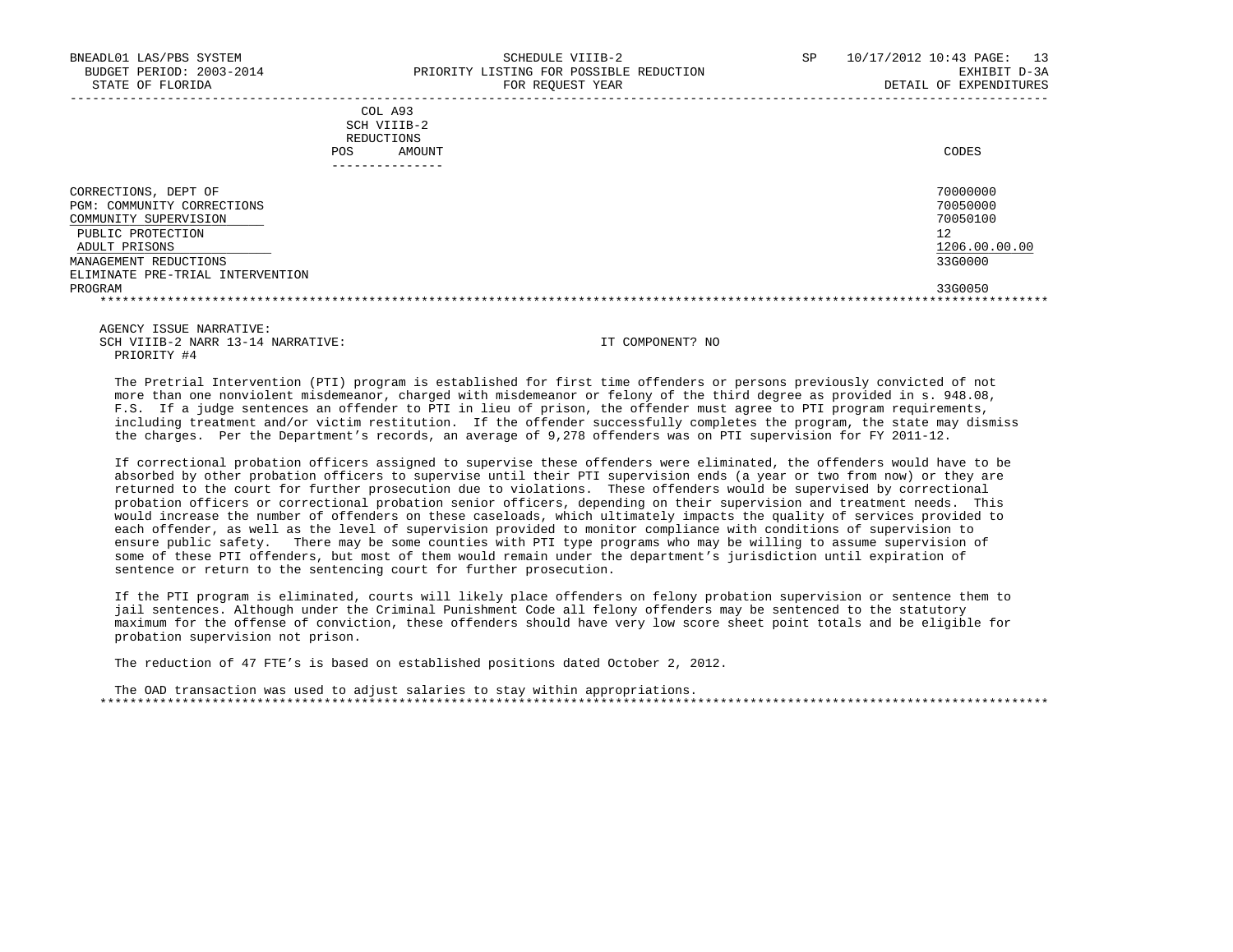|            | _______________ |       |
|------------|-----------------|-------|
| POS        | AMOUNT          | CODES |
| REDUCTIONS |                 |       |
|            | SCH VIIIB-2     |       |
|            | COL A93         |       |

| DEPT OF<br>CORRECTIONS,          | 70000000      |
|----------------------------------|---------------|
| PGM: COMMUNITY CORRECTIONS       | 70050000      |
| COMMUNITY SUPERVISION            | 70050100      |
| PUBLIC PROTECTION                | 12            |
| ADULT PRISONS                    | 1206.00.00.00 |
| MANAGEMENT REDUCTIONS            | 33G0000       |
| ELIMINATE PRE-TRIAL INTERVENTION |               |
| PROGRAM                          | 33G0050       |
|                                  |               |

 AGENCY ISSUE NARRATIVE: SCH VIIIB-2 NARR 13-14 NARRATIVE: IT COMPONENT? NO PRIORITY #4

 The Pretrial Intervention (PTI) program is established for first time offenders or persons previously convicted of not more than one nonviolent misdemeanor, charged with misdemeanor or felony of the third degree as provided in s. 948.08, F.S. If a judge sentences an offender to PTI in lieu of prison, the offender must agree to PTI program requirements, including treatment and/or victim restitution. If the offender successfully completes the program, the state may dismiss the charges. Per the Department's records, an average of 9,278 offenders was on PTI supervision for FY 2011-12.

 If correctional probation officers assigned to supervise these offenders were eliminated, the offenders would have to be absorbed by other probation officers to supervise until their PTI supervision ends (a year or two from now) or they are returned to the court for further prosecution due to violations. These offenders would be supervised by correctional probation officers or correctional probation senior officers, depending on their supervision and treatment needs. This would increase the number of offenders on these caseloads, which ultimately impacts the quality of services provided to each offender, as well as the level of supervision provided to monitor compliance with conditions of supervision to ensure public safety. There may be some counties with PTI type programs who may be willing to assume supervision of some of these PTI offenders, but most of them would remain under the department's jurisdiction until expiration of sentence or return to the sentencing court for further prosecution.

 If the PTI program is eliminated, courts will likely place offenders on felony probation supervision or sentence them to jail sentences. Although under the Criminal Punishment Code all felony offenders may be sentenced to the statutory maximum for the offense of conviction, these offenders should have very low score sheet point totals and be eligible for probation supervision not prison.

The reduction of 47 FTE's is based on established positions dated October 2, 2012.

 The OAD transaction was used to adjust salaries to stay within appropriations. \*\*\*\*\*\*\*\*\*\*\*\*\*\*\*\*\*\*\*\*\*\*\*\*\*\*\*\*\*\*\*\*\*\*\*\*\*\*\*\*\*\*\*\*\*\*\*\*\*\*\*\*\*\*\*\*\*\*\*\*\*\*\*\*\*\*\*\*\*\*\*\*\*\*\*\*\*\*\*\*\*\*\*\*\*\*\*\*\*\*\*\*\*\*\*\*\*\*\*\*\*\*\*\*\*\*\*\*\*\*\*\*\*\*\*\*\*\*\*\*\*\*\*\*\*\*\*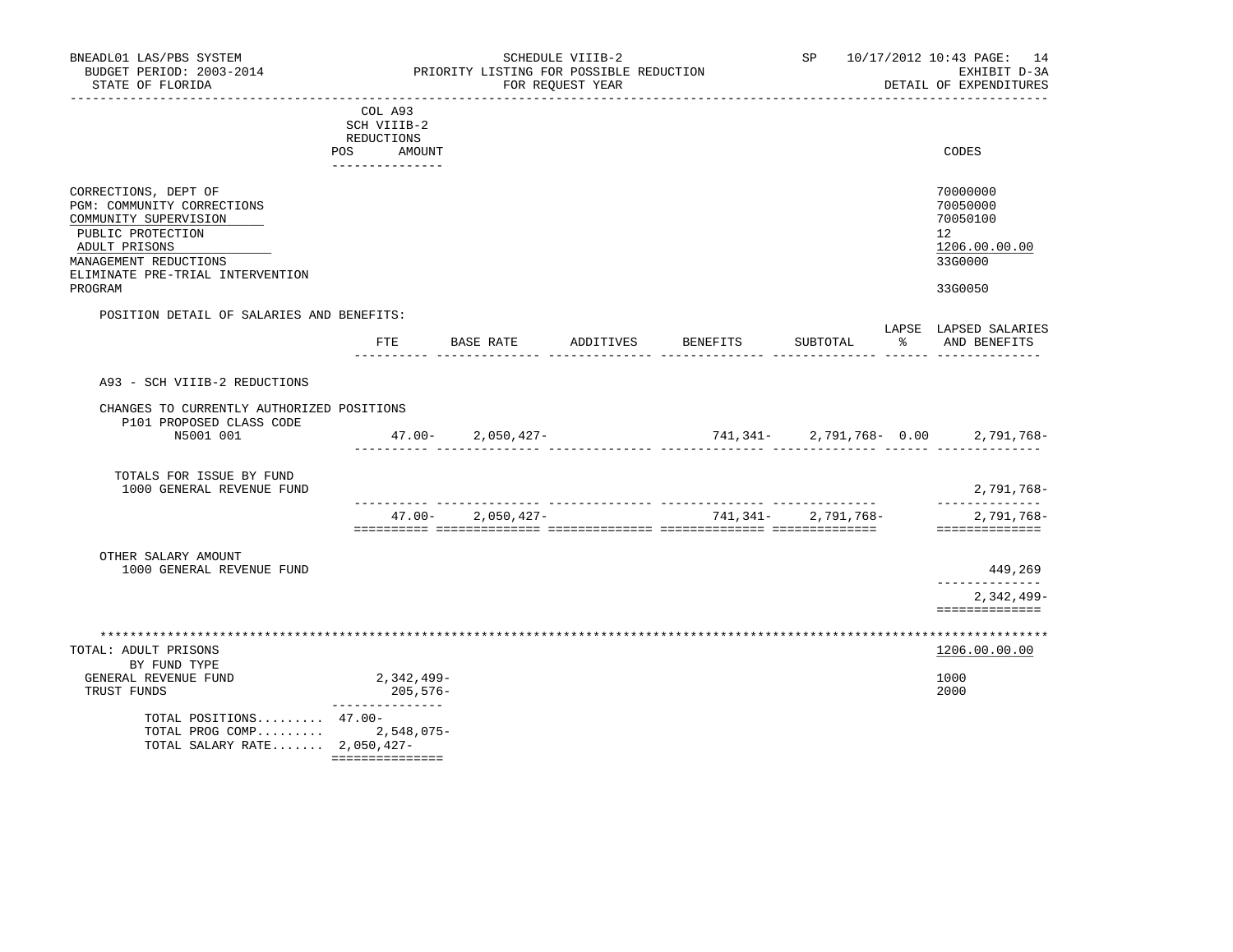| BNEADL01 LAS/PBS SYSTEM<br>BUDGET PERIOD: 2003-2014<br>STATE OF FLORIDA<br>______________________                                                                              |                                                                       |                       | SCHEDULE VIIIB-2<br>PRIORITY LISTING FOR POSSIBLE REDUCTION<br>FOR REOUEST YEAR | _______________________             |                    | SP 10/17/2012 10:43 PAGE: 14<br>EXHIBIT D-3A<br>DETAIL OF EXPENDITURES          |
|--------------------------------------------------------------------------------------------------------------------------------------------------------------------------------|-----------------------------------------------------------------------|-----------------------|---------------------------------------------------------------------------------|-------------------------------------|--------------------|---------------------------------------------------------------------------------|
|                                                                                                                                                                                | COL A93<br>SCH VIIIB-2<br>REDUCTIONS<br>POS AMOUNT<br>--------------- |                       |                                                                                 |                                     |                    | CODES                                                                           |
| CORRECTIONS, DEPT OF<br>PGM: COMMUNITY CORRECTIONS<br>COMMUNITY SUPERVISION<br>PUBLIC PROTECTION<br>ADULT PRISONS<br>MANAGEMENT REDUCTIONS<br>ELIMINATE PRE-TRIAL INTERVENTION |                                                                       |                       |                                                                                 |                                     |                    | 70000000<br>70050000<br>70050100<br>12 <sup>°</sup><br>1206.00.00.00<br>33G0000 |
| PROGRAM                                                                                                                                                                        |                                                                       |                       |                                                                                 |                                     |                    | 33G0050                                                                         |
| POSITION DETAIL OF SALARIES AND BENEFITS:                                                                                                                                      |                                                                       |                       | FTE BASE RATE ADDITIVES                                                         | BENEFITS                            | SUBTOTAL           | LAPSE LAPSED SALARIES<br>% AND BENEFITS                                         |
| A93 - SCH VIIIB-2 REDUCTIONS                                                                                                                                                   |                                                                       |                       |                                                                                 |                                     |                    |                                                                                 |
| CHANGES TO CURRENTLY AUTHORIZED POSITIONS                                                                                                                                      |                                                                       |                       |                                                                                 |                                     |                    |                                                                                 |
| P101 PROPOSED CLASS CODE<br>N5001 001                                                                                                                                          |                                                                       | $47.00 - 2,050,427 -$ |                                                                                 | $741,341-2,791,768-0.00$ 2,791,768- |                    |                                                                                 |
| TOTALS FOR ISSUE BY FUND<br>1000 GENERAL REVENUE FUND                                                                                                                          |                                                                       |                       |                                                                                 |                                     |                    | 2,791,768-<br>______________                                                    |
|                                                                                                                                                                                | $47.00 -$                                                             | $2,050,427-$          |                                                                                 |                                     | 741,341-2,791,768- | 2,791,768-<br>==============                                                    |
|                                                                                                                                                                                |                                                                       |                       |                                                                                 |                                     |                    |                                                                                 |
| OTHER SALARY AMOUNT<br>1000 GENERAL REVENUE FUND                                                                                                                               |                                                                       |                       |                                                                                 |                                     |                    | 449,269<br>____________                                                         |
|                                                                                                                                                                                |                                                                       |                       |                                                                                 |                                     |                    | $2,342,499-$<br>==============                                                  |
|                                                                                                                                                                                |                                                                       |                       |                                                                                 |                                     |                    |                                                                                 |
| TOTAL: ADULT PRISONS                                                                                                                                                           |                                                                       |                       |                                                                                 |                                     |                    | 1206.00.00.00                                                                   |
| BY FUND TYPE<br>GENERAL REVENUE FUND<br>TRUST FUNDS                                                                                                                            | 2,342,499-<br>205,576-<br>_______________                             |                       |                                                                                 |                                     |                    | 1000<br>2000                                                                    |
| TOTAL POSITIONS 47.00-<br>TOTAL PROG COMP 2,548,075-<br>TOTAL SALARY RATE $2,050,427-$                                                                                         | ===============                                                       |                       |                                                                                 |                                     |                    |                                                                                 |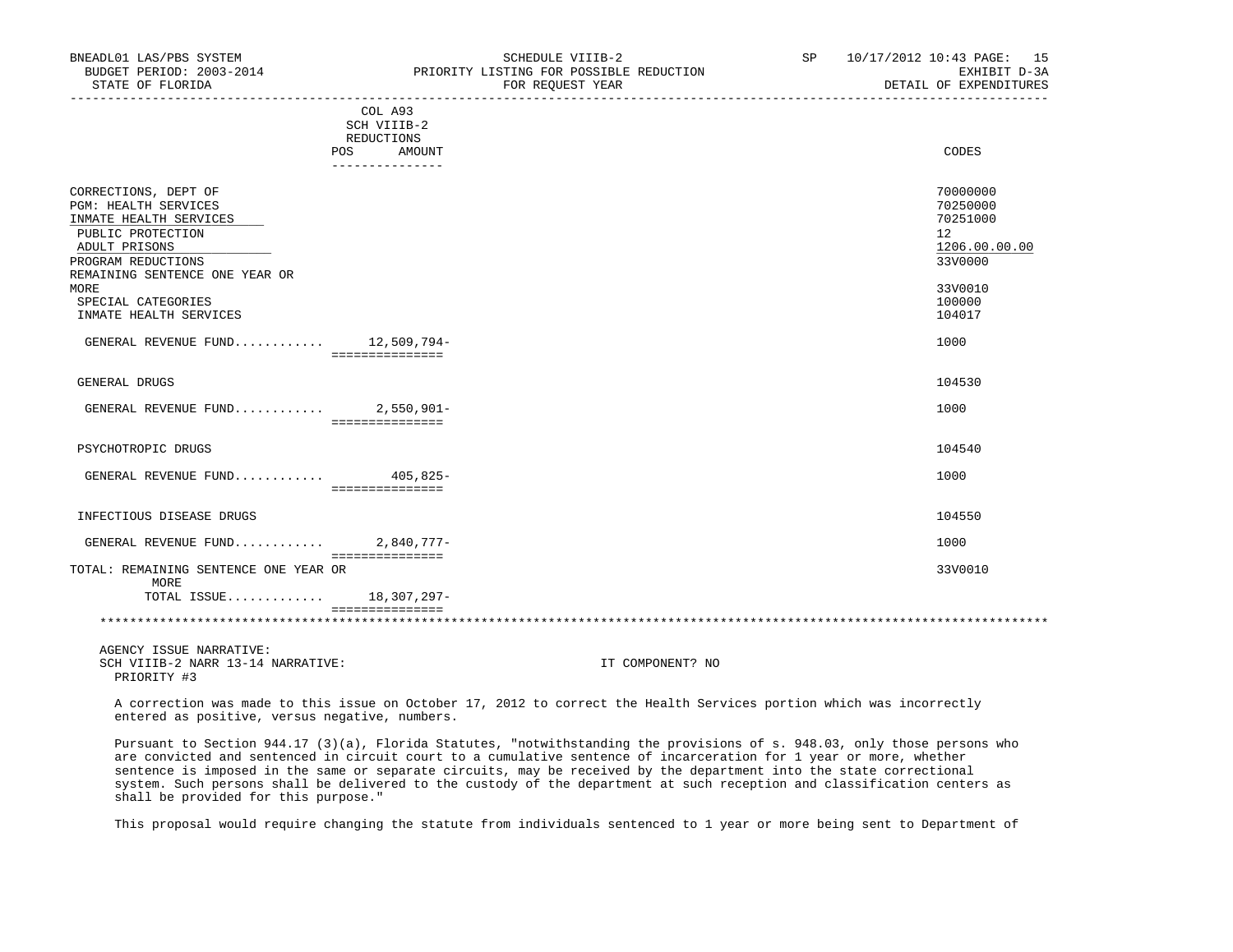| BNEADL01 LAS/PBS SYSTEM<br>BUDGET PERIOD: 2003-2014<br>STATE OF FLORIDA                                                                   | SCHEDULE VIIIB-2<br>PRIORITY LISTING FOR POSSIBLE REDUCTION<br>FOR REQUEST YEAR | SP | 10/17/2012 10:43 PAGE: 15<br>EXHIBIT D-3A<br>DETAIL OF EXPENDITURES             |
|-------------------------------------------------------------------------------------------------------------------------------------------|---------------------------------------------------------------------------------|----|---------------------------------------------------------------------------------|
|                                                                                                                                           | COL A93<br>SCH VIIIB-2<br>REDUCTIONS                                            |    |                                                                                 |
|                                                                                                                                           | <b>POS</b><br>AMOUNT<br>---------------                                         |    | CODES                                                                           |
| CORRECTIONS, DEPT OF<br><b>PGM: HEALTH SERVICES</b><br>INMATE HEALTH SERVICES<br>PUBLIC PROTECTION<br>ADULT PRISONS<br>PROGRAM REDUCTIONS |                                                                                 |    | 70000000<br>70250000<br>70251000<br>12 <sup>°</sup><br>1206.00.00.00<br>33V0000 |
| REMAINING SENTENCE ONE YEAR OR<br>MORE<br>SPECIAL CATEGORIES<br>INMATE HEALTH SERVICES                                                    |                                                                                 |    | 33V0010<br>100000<br>104017                                                     |
| GENERAL REVENUE FUND 12,509,794-                                                                                                          | ===============                                                                 |    | 1000                                                                            |
| GENERAL DRUGS                                                                                                                             |                                                                                 |    | 104530                                                                          |
| GENERAL REVENUE FUND 2,550,901-                                                                                                           | ================                                                                |    | 1000                                                                            |
| PSYCHOTROPIC DRUGS                                                                                                                        |                                                                                 |    | 104540                                                                          |
| GENERAL REVENUE FUND $405,825-$                                                                                                           | ===============                                                                 |    | 1000                                                                            |
| INFECTIOUS DISEASE DRUGS                                                                                                                  |                                                                                 |    | 104550                                                                          |
| GENERAL REVENUE FUND                                                                                                                      | $2,840,777-$<br><b>BEBBBBBBBBBBBBB</b>                                          |    | 1000                                                                            |
| TOTAL: REMAINING SENTENCE ONE YEAR OR<br>MORE                                                                                             |                                                                                 |    | 33V0010                                                                         |
| TOTAL ISSUE 18,307,297-                                                                                                                   | ===============                                                                 |    |                                                                                 |
| ACENCY ISSUE NARRATIVE:                                                                                                                   |                                                                                 |    |                                                                                 |

 A correction was made to this issue on October 17, 2012 to correct the Health Services portion which was incorrectly entered as positive, versus negative, numbers.

 Pursuant to Section 944.17 (3)(a), Florida Statutes, "notwithstanding the provisions of s. 948.03, only those persons who are convicted and sentenced in circuit court to a cumulative sentence of incarceration for 1 year or more, whether sentence is imposed in the same or separate circuits, may be received by the department into the state correctional system. Such persons shall be delivered to the custody of the department at such reception and classification centers as shall be provided for this purpose."

This proposal would require changing the statute from individuals sentenced to 1 year or more being sent to Department of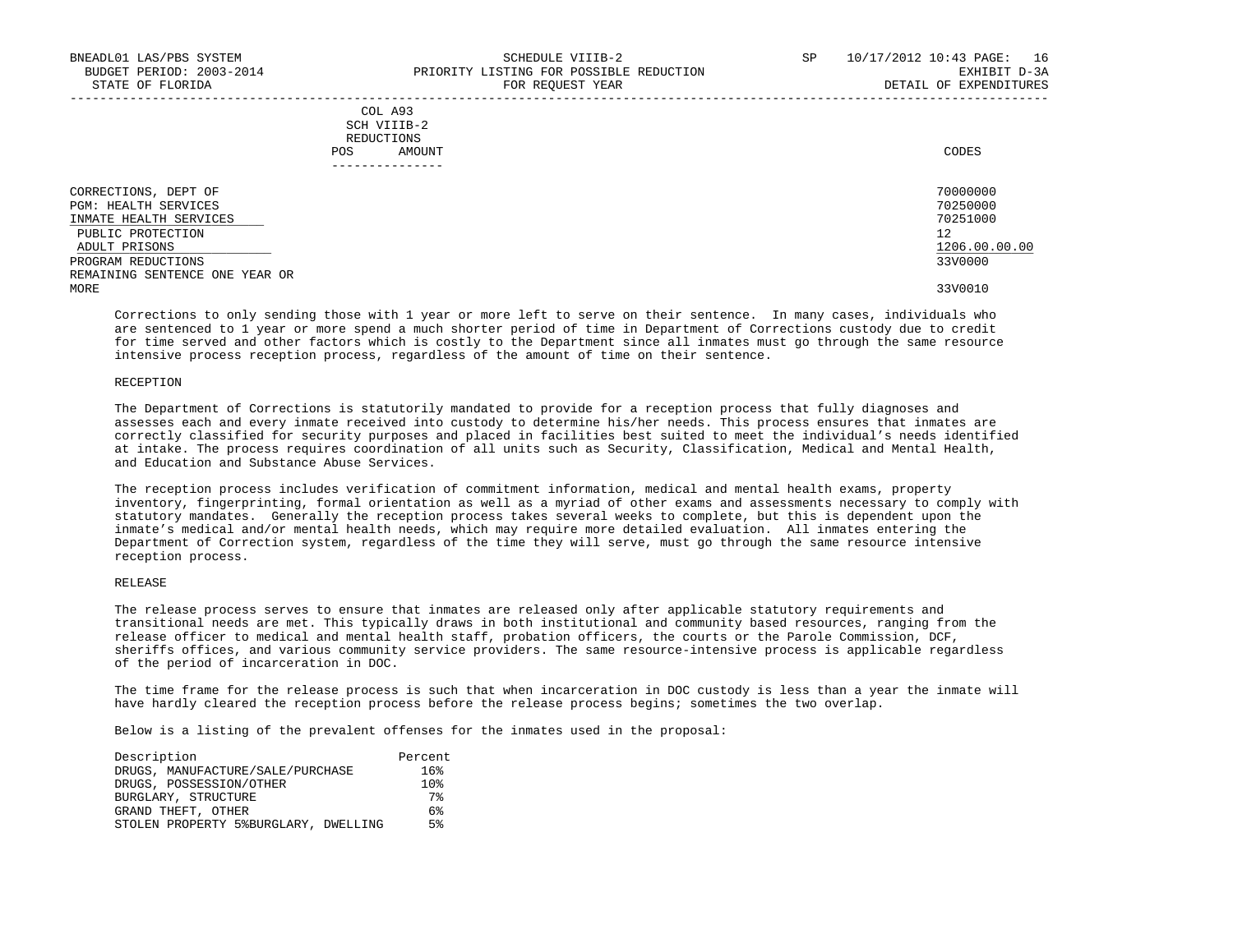| COL A93     |                 |
|-------------|-----------------|
| SCH VIIIB-2 |                 |
| REDUCTIONS  |                 |
| POS         | CODES<br>AMOUNT |

| DEPT OF<br>CORRECTIONS,        | 70000000      |
|--------------------------------|---------------|
| PGM: HEALTH SERVICES           | 70250000      |
| INMATE HEALTH SERVICES         | 70251000      |
| PUBLIC PROTECTION              | 12            |
| ADULT PRISONS                  | 1206.00.00.00 |
| PROGRAM REDUCTIONS             | 33V0000       |
| REMAINING SENTENCE ONE YEAR OR |               |
| MORE                           | 33V0010       |

 Corrections to only sending those with 1 year or more left to serve on their sentence. In many cases, individuals who are sentenced to 1 year or more spend a much shorter period of time in Department of Corrections custody due to credit for time served and other factors which is costly to the Department since all inmates must go through the same resource intensive process reception process, regardless of the amount of time on their sentence.

## RECEPTION

 The Department of Corrections is statutorily mandated to provide for a reception process that fully diagnoses and assesses each and every inmate received into custody to determine his/her needs. This process ensures that inmates are correctly classified for security purposes and placed in facilities best suited to meet the individual's needs identified at intake. The process requires coordination of all units such as Security, Classification, Medical and Mental Health, and Education and Substance Abuse Services.

 The reception process includes verification of commitment information, medical and mental health exams, property inventory, fingerprinting, formal orientation as well as a myriad of other exams and assessments necessary to comply with statutory mandates. Generally the reception process takes several weeks to complete, but this is dependent upon the inmate's medical and/or mental health needs, which may require more detailed evaluation. All inmates entering the Department of Correction system, regardless of the time they will serve, must go through the same resource intensive reception process.

## RELEASE

 The release process serves to ensure that inmates are released only after applicable statutory requirements and transitional needs are met. This typically draws in both institutional and community based resources, ranging from the release officer to medical and mental health staff, probation officers, the courts or the Parole Commission, DCF, sheriffs offices, and various community service providers. The same resource-intensive process is applicable regardless of the period of incarceration in DOC.

 The time frame for the release process is such that when incarceration in DOC custody is less than a year the inmate will have hardly cleared the reception process before the release process begins; sometimes the two overlap.

| Description                          | Percent         |
|--------------------------------------|-----------------|
| DRUGS, MANUFACTURE/SALE/PURCHASE     | 16%             |
| DRUGS, POSSESSION/OTHER              | 10 <sub>8</sub> |
| BURGLARY, STRUCTURE                  | 7%              |
| GRAND THEFT, OTHER                   | 6%              |
| STOLEN PROPERTY 5%BURGLARY, DWELLING | 5%              |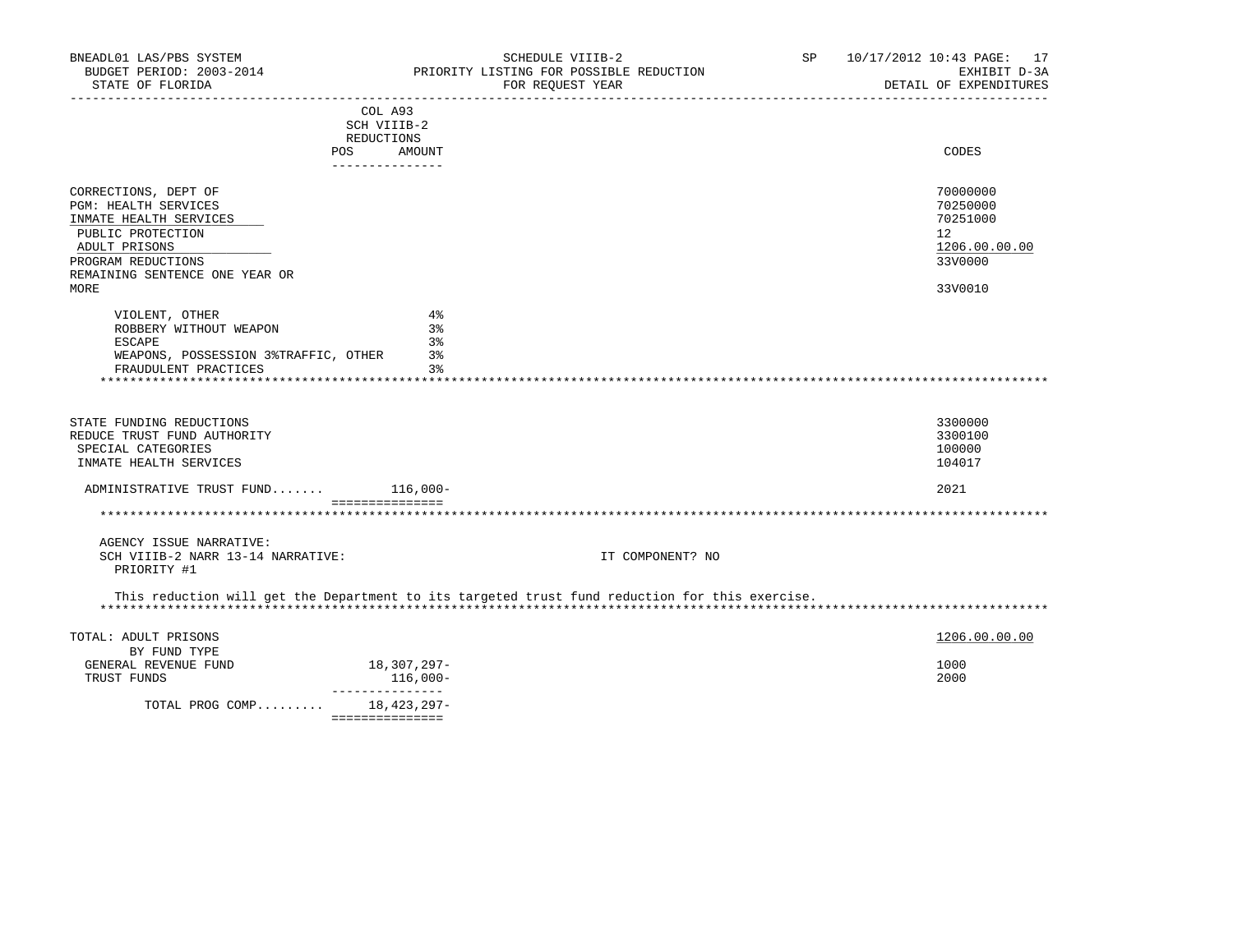| BNEADL01 LAS/PBS SYSTEM<br>BUDGET PERIOD: 2003-2014<br>STATE OF FLORIDA |                   | SCHEDULE VIIIB-2<br>PRIORITY LISTING FOR POSSIBLE REDUCTION<br>FOR REQUEST YEAR<br>---------------------- | SP | 10/17/2012 10:43 PAGE: 17<br>EXHIBIT D-3A<br>DETAIL OF EXPENDITURES |
|-------------------------------------------------------------------------|-------------------|-----------------------------------------------------------------------------------------------------------|----|---------------------------------------------------------------------|
|                                                                         | COL A93           |                                                                                                           |    |                                                                     |
|                                                                         | SCH VIIIB-2       |                                                                                                           |    |                                                                     |
|                                                                         | REDUCTIONS<br>POS |                                                                                                           |    | CODES                                                               |
|                                                                         | AMOUNT            |                                                                                                           |    |                                                                     |
|                                                                         |                   |                                                                                                           |    |                                                                     |
| CORRECTIONS, DEPT OF                                                    |                   |                                                                                                           |    | 70000000                                                            |
| PGM: HEALTH SERVICES                                                    |                   |                                                                                                           |    | 70250000                                                            |
| INMATE HEALTH SERVICES                                                  |                   |                                                                                                           |    | 70251000                                                            |
| PUBLIC PROTECTION                                                       |                   |                                                                                                           |    | 12                                                                  |
| ADULT PRISONS<br>PROGRAM REDUCTIONS                                     |                   |                                                                                                           |    | 1206.00.00.00<br>33V0000                                            |
| REMAINING SENTENCE ONE YEAR OR                                          |                   |                                                                                                           |    |                                                                     |
| MORE                                                                    |                   |                                                                                                           |    | 33V0010                                                             |
|                                                                         |                   |                                                                                                           |    |                                                                     |
| VIOLENT, OTHER                                                          | $4\%$             |                                                                                                           |    |                                                                     |
| ROBBERY WITHOUT WEAPON                                                  | 3%<br>3%          |                                                                                                           |    |                                                                     |
| ESCAPE<br>WEAPONS, POSSESSION 3%TRAFFIC, OTHER                          | 3%                |                                                                                                           |    |                                                                     |
| FRAUDULENT PRACTICES                                                    | $3\,$             |                                                                                                           |    |                                                                     |
| ******************************                                          | ************      |                                                                                                           |    |                                                                     |
|                                                                         |                   |                                                                                                           |    |                                                                     |
|                                                                         |                   |                                                                                                           |    |                                                                     |
| STATE FUNDING REDUCTIONS<br>REDUCE TRUST FUND AUTHORITY                 |                   |                                                                                                           |    | 3300000<br>3300100                                                  |
| SPECIAL CATEGORIES                                                      |                   |                                                                                                           |    | 100000                                                              |
| INMATE HEALTH SERVICES                                                  |                   |                                                                                                           |    | 104017                                                              |
|                                                                         |                   |                                                                                                           |    |                                                                     |
| ADMINISTRATIVE TRUST FUND 116,000-                                      |                   |                                                                                                           |    | 2021                                                                |
|                                                                         | ===============   |                                                                                                           |    |                                                                     |
| AGENCY ISSUE NARRATIVE:                                                 |                   |                                                                                                           |    |                                                                     |
| SCH VIIIB-2 NARR 13-14 NARRATIVE:                                       |                   | IT COMPONENT? NO                                                                                          |    |                                                                     |
| PRIORITY #1                                                             |                   |                                                                                                           |    |                                                                     |
|                                                                         |                   | This reduction will get the Department to its targeted trust fund reduction for this exercise.            |    |                                                                     |
| TOTAL: ADULT PRISONS                                                    |                   |                                                                                                           |    | 1206.00.00.00                                                       |
| BY FUND TYPE                                                            |                   |                                                                                                           |    |                                                                     |
| GENERAL REVENUE FUND                                                    | 18,307,297-       |                                                                                                           |    | 1000                                                                |
| TRUST FUNDS                                                             | 116,000-          |                                                                                                           |    | 2000                                                                |
|                                                                         | _______________   |                                                                                                           |    |                                                                     |
| TOTAL PROG COMP                                                         | 18,423,297-       |                                                                                                           |    |                                                                     |
|                                                                         | ===============   |                                                                                                           |    |                                                                     |
|                                                                         |                   |                                                                                                           |    |                                                                     |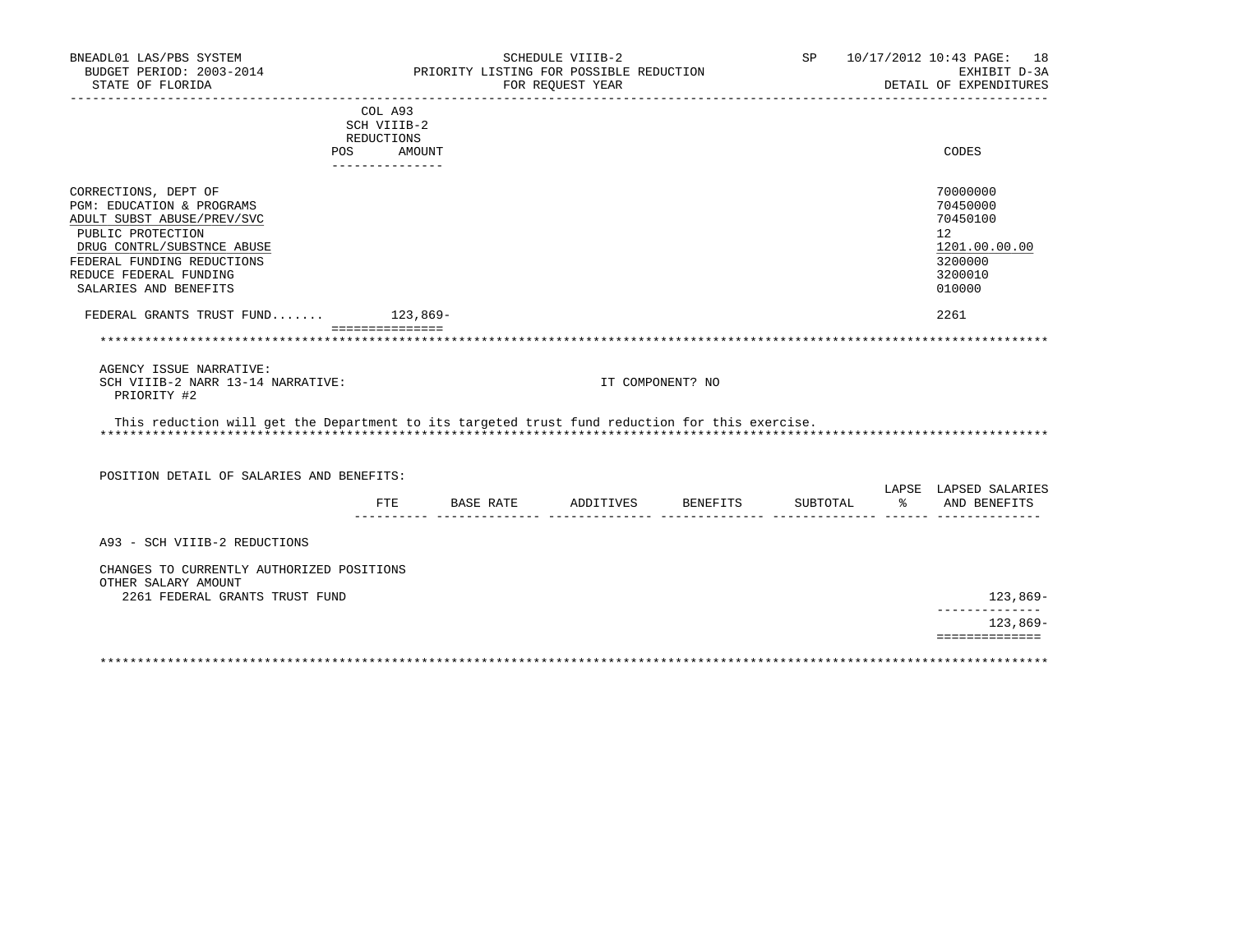| BNEADL01 LAS/PBS SYSTEM<br>BUDGET PERIOD: 2003-2014<br>STATE OF FLORIDA                                                                                                                                             |                                         |               | SCHEDULE VIIIB-2<br>PRIORITY LISTING FOR POSSIBLE REDUCTION<br>FOR REQUEST YEAR |                    |          |     | SP 10/17/2012 10:43 PAGE: 18<br>EXHIBIT D-3A<br>DETAIL OF EXPENDITURES                  |
|---------------------------------------------------------------------------------------------------------------------------------------------------------------------------------------------------------------------|-----------------------------------------|---------------|---------------------------------------------------------------------------------|--------------------|----------|-----|-----------------------------------------------------------------------------------------|
|                                                                                                                                                                                                                     | COL A93<br>SCH VIIIB-2                  |               |                                                                                 |                    |          |     |                                                                                         |
| POS.                                                                                                                                                                                                                | REDUCTIONS<br>AMOUNT<br>_______________ |               |                                                                                 |                    |          |     | <b>CODES</b>                                                                            |
| CORRECTIONS, DEPT OF<br>PGM: EDUCATION & PROGRAMS<br>ADULT SUBST ABUSE/PREV/SVC<br>PUBLIC PROTECTION<br>DRUG CONTRL/SUBSTNCE ABUSE<br>FEDERAL FUNDING REDUCTIONS<br>REDUCE FEDERAL FUNDING<br>SALARIES AND BENEFITS |                                         |               |                                                                                 |                    |          |     | 70000000<br>70450000<br>70450100<br>12<br>1201.00.00.00<br>3200000<br>3200010<br>010000 |
| FEDERAL GRANTS TRUST FUND 123,869-                                                                                                                                                                                  |                                         |               |                                                                                 |                    |          |     | 2261                                                                                    |
|                                                                                                                                                                                                                     | ===============                         |               |                                                                                 |                    |          |     |                                                                                         |
| AGENCY ISSUE NARRATIVE:<br>SCH VIIIB-2 NARR 13-14 NARRATIVE:<br>PRIORITY #2                                                                                                                                         |                                         |               | IT COMPONENT? NO                                                                |                    |          |     |                                                                                         |
| This reduction will get the Department to its targeted trust fund reduction for this exercise.                                                                                                                      |                                         |               |                                                                                 |                    |          |     |                                                                                         |
| POSITION DETAIL OF SALARIES AND BENEFITS:                                                                                                                                                                           |                                         |               |                                                                                 |                    |          |     |                                                                                         |
|                                                                                                                                                                                                                     |                                         | FTE BASE RATE |                                                                                 | ADDITIVES BENEFITS | SUBTOTAL | ့ န | LAPSE LAPSED SALARIES<br>AND BENEFITS<br>_________ _______________ _____ _____          |
| A93 - SCH VIIIB-2 REDUCTIONS                                                                                                                                                                                        |                                         |               |                                                                                 |                    |          |     |                                                                                         |
| CHANGES TO CURRENTLY AUTHORIZED POSITIONS<br>OTHER SALARY AMOUNT<br>2261 FEDERAL GRANTS TRUST FUND                                                                                                                  |                                         |               |                                                                                 |                    |          |     | 123,869-                                                                                |
|                                                                                                                                                                                                                     |                                         |               |                                                                                 |                    |          |     | --------------<br>123,869-                                                              |
|                                                                                                                                                                                                                     |                                         |               |                                                                                 |                    |          |     | ==============                                                                          |
|                                                                                                                                                                                                                     |                                         |               |                                                                                 |                    |          |     |                                                                                         |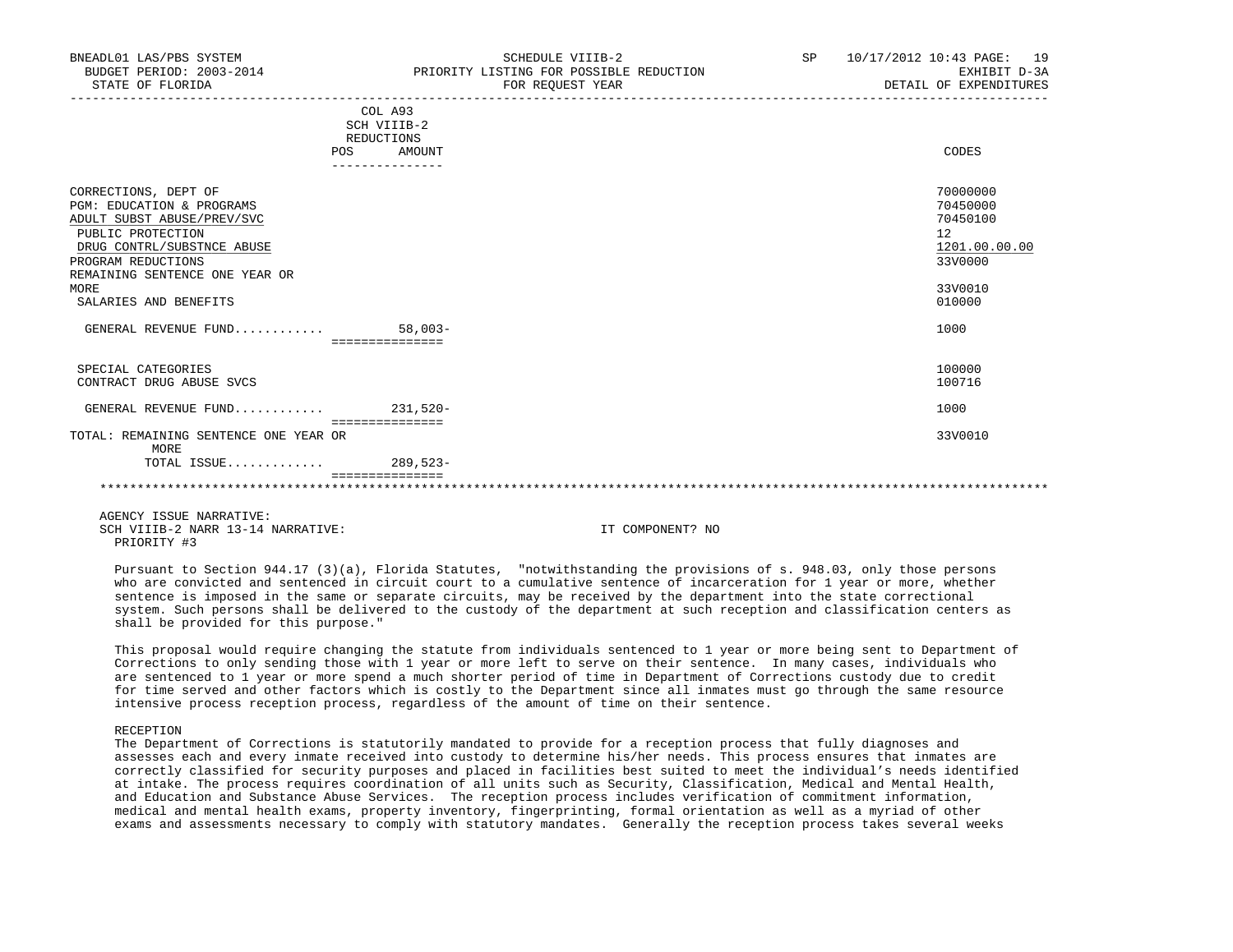|                                                                                                                                                          | COL A93<br>SCH VIIIB-2<br>REDUCTIONS |                                                                    |  |
|----------------------------------------------------------------------------------------------------------------------------------------------------------|--------------------------------------|--------------------------------------------------------------------|--|
|                                                                                                                                                          | AMOUNT<br>POS                        | CODES                                                              |  |
|                                                                                                                                                          |                                      |                                                                    |  |
| CORRECTIONS, DEPT OF<br>PGM: EDUCATION & PROGRAMS<br>ADULT SUBST ABUSE/PREV/SVC<br>PUBLIC PROTECTION<br>DRUG CONTRL/SUBSTNCE ABUSE<br>PROGRAM REDUCTIONS |                                      | 70000000<br>70450000<br>70450100<br>12<br>1201.00.00.00<br>33V0000 |  |
| REMAINING SENTENCE ONE YEAR OR                                                                                                                           |                                      |                                                                    |  |
| MORE<br>SALARIES AND BENEFITS                                                                                                                            |                                      | 33V0010<br>010000                                                  |  |
| GENERAL REVENUE FUND                                                                                                                                     | $58,003-$<br>===============         | 1000                                                               |  |
| SPECIAL CATEGORIES<br>CONTRACT DRUG ABUSE SVCS                                                                                                           |                                      | 100000<br>100716                                                   |  |
| GENERAL REVENUE FUND 231,520-                                                                                                                            | ===============                      | 1000                                                               |  |
| TOTAL: REMAINING SENTENCE ONE YEAR OR<br>MORE                                                                                                            |                                      | 33V0010                                                            |  |
| TOTAL ISSUE                                                                                                                                              | $289,523-$                           |                                                                    |  |
|                                                                                                                                                          |                                      |                                                                    |  |
|                                                                                                                                                          |                                      |                                                                    |  |

 Pursuant to Section 944.17 (3)(a), Florida Statutes, "notwithstanding the provisions of s. 948.03, only those persons who are convicted and sentenced in circuit court to a cumulative sentence of incarceration for 1 year or more, whether sentence is imposed in the same or separate circuits, may be received by the department into the state correctional system. Such persons shall be delivered to the custody of the department at such reception and classification centers as shall be provided for this purpose."

 This proposal would require changing the statute from individuals sentenced to 1 year or more being sent to Department of Corrections to only sending those with 1 year or more left to serve on their sentence. In many cases, individuals who are sentenced to 1 year or more spend a much shorter period of time in Department of Corrections custody due to credit for time served and other factors which is costly to the Department since all inmates must go through the same resource intensive process reception process, regardless of the amount of time on their sentence.

#### RECEPTION

 The Department of Corrections is statutorily mandated to provide for a reception process that fully diagnoses and assesses each and every inmate received into custody to determine his/her needs. This process ensures that inmates are correctly classified for security purposes and placed in facilities best suited to meet the individual's needs identified at intake. The process requires coordination of all units such as Security, Classification, Medical and Mental Health, and Education and Substance Abuse Services. The reception process includes verification of commitment information, medical and mental health exams, property inventory, fingerprinting, formal orientation as well as a myriad of other exams and assessments necessary to comply with statutory mandates. Generally the reception process takes several weeks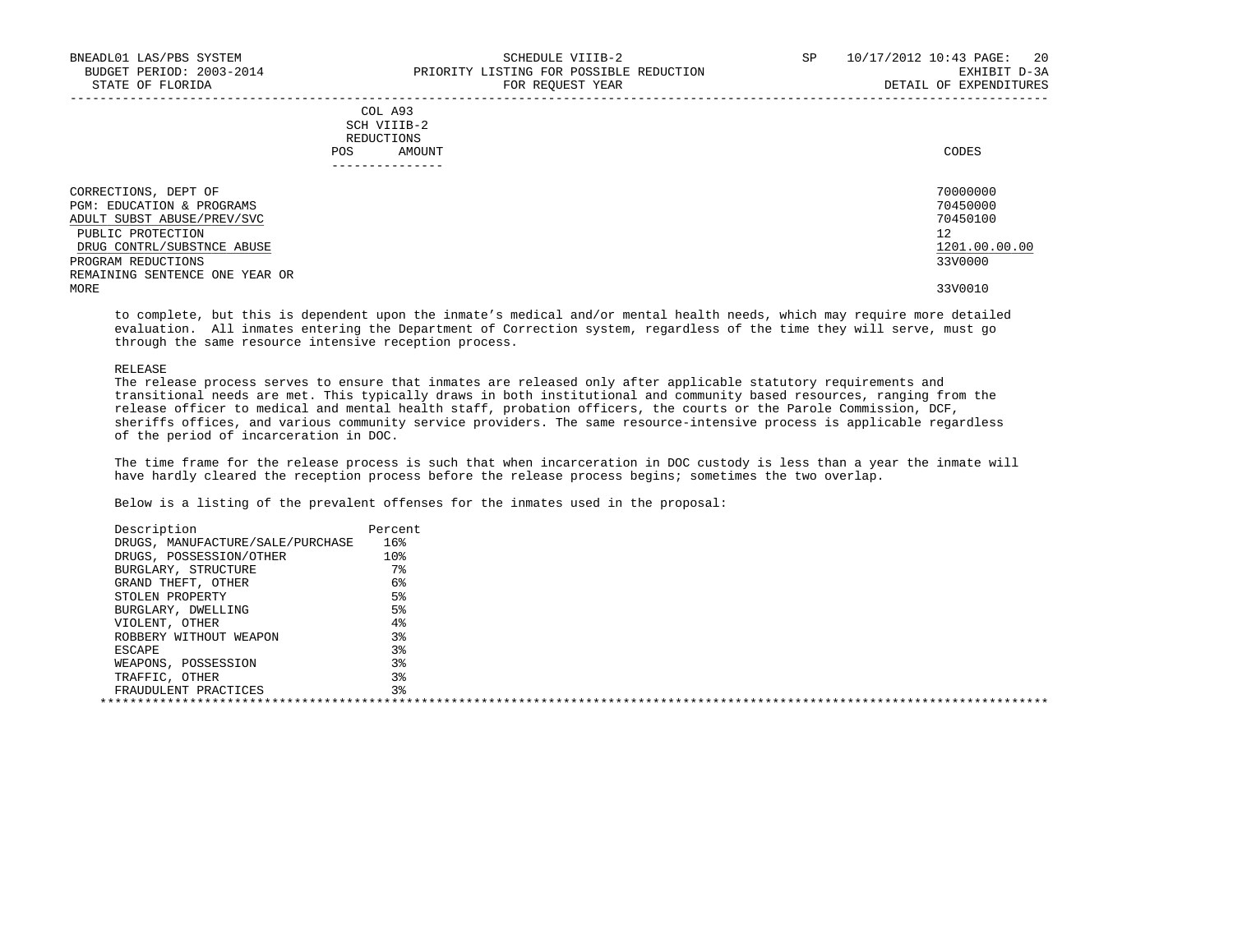|     | --------------- |       |
|-----|-----------------|-------|
| POS | AMOUNT          | CODES |
|     | REDUCTIONS      |       |
|     | SCH VIIIB-2     |       |
|     | COL A93         |       |

| CORRECTIONS, DEPT OF           | 70000000      |
|--------------------------------|---------------|
| PGM: EDUCATION & PROGRAMS      | 70450000      |
| ADULT SUBST ABUSE/PREV/SVC     | 70450100      |
| PUBLIC PROTECTION              | 12            |
| DRUG CONTRL/SUBSTNCE ABUSE     | 1201.00.00.00 |
| PROGRAM REDUCTIONS             | 33V0000       |
| REMAINING SENTENCE ONE YEAR OR |               |
| MORE                           | 33V0010       |
|                                |               |

 to complete, but this is dependent upon the inmate's medical and/or mental health needs, which may require more detailed evaluation. All inmates entering the Department of Correction system, regardless of the time they will serve, must go through the same resource intensive reception process.

#### RELEASE

 The release process serves to ensure that inmates are released only after applicable statutory requirements and transitional needs are met. This typically draws in both institutional and community based resources, ranging from the release officer to medical and mental health staff, probation officers, the courts or the Parole Commission, DCF, sheriffs offices, and various community service providers. The same resource-intensive process is applicable regardless of the period of incarceration in DOC.

 The time frame for the release process is such that when incarceration in DOC custody is less than a year the inmate will have hardly cleared the reception process before the release process begins; sometimes the two overlap.

| Percent |  |
|---------|--|
| 16%     |  |
| 10%     |  |
| $7\,$   |  |
| 6%      |  |
| 5%      |  |
| 5%      |  |
| 4%      |  |
| 3%      |  |
| 3%      |  |
| $3\,$   |  |
| 3%      |  |
| 3%      |  |
|         |  |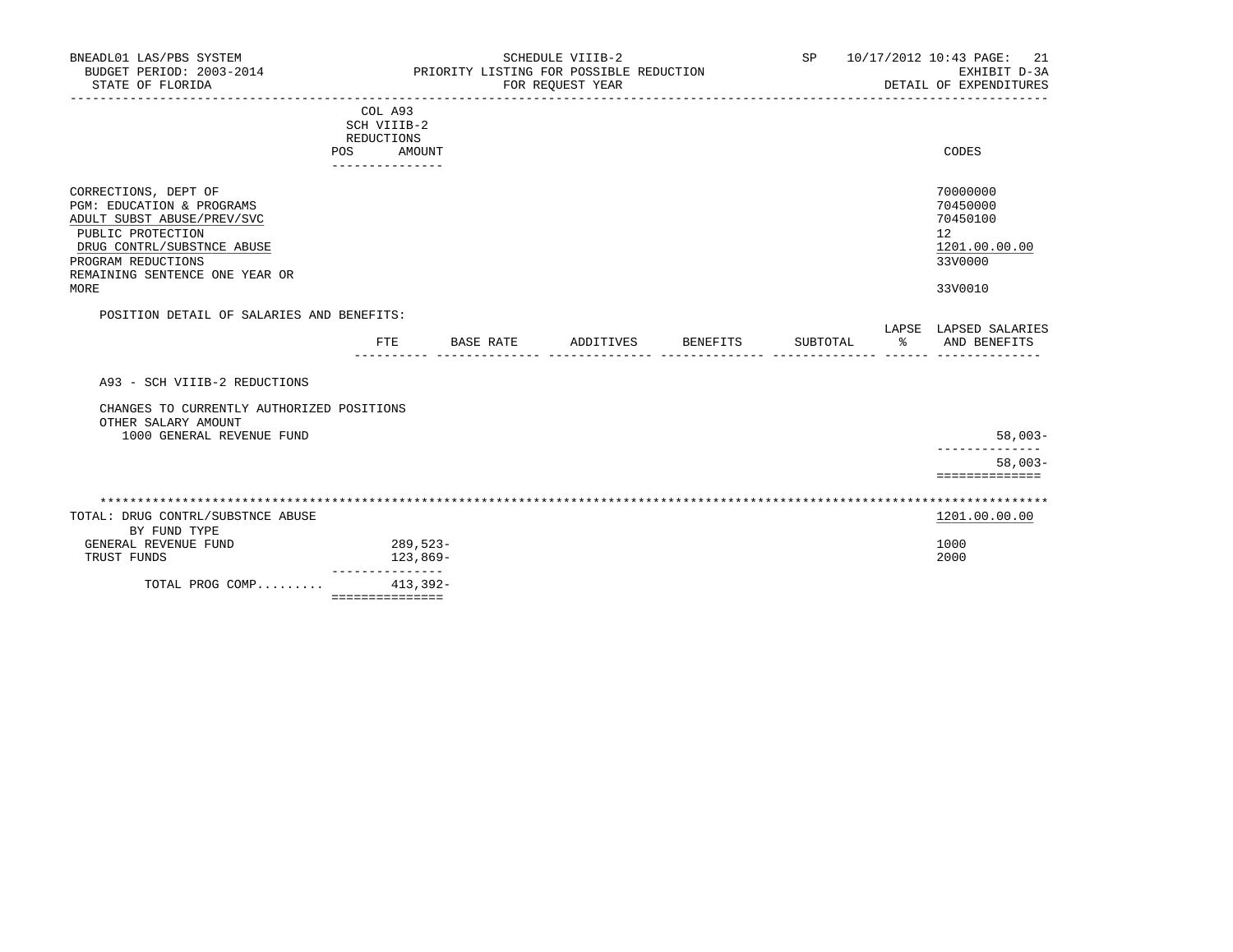| BNEADL01 LAS/PBS SYSTEM<br>BUDGET PERIOD: 2003-2014<br>STATE OF FLORIDA                                                                                                                            | SCHEDULE VIIIB-2<br>PRIORITY LISTING FOR POSSIBLE REDUCTION<br>FOR REQUEST YEAR |            |                    |  |          | 10/17/2012 10:43 PAGE:<br>21<br>EXHIBIT D-3A<br>DETAIL OF EXPENDITURES |                                                                               |
|----------------------------------------------------------------------------------------------------------------------------------------------------------------------------------------------------|---------------------------------------------------------------------------------|------------|--------------------|--|----------|------------------------------------------------------------------------|-------------------------------------------------------------------------------|
|                                                                                                                                                                                                    | COL A93<br>SCH VIIIB-2<br>REDUCTIONS<br>POS<br>---------------                  | AMOUNT     |                    |  |          |                                                                        | CODES                                                                         |
| CORRECTIONS, DEPT OF<br>PGM: EDUCATION & PROGRAMS<br>ADULT SUBST ABUSE/PREV/SVC<br>PUBLIC PROTECTION<br>DRUG CONTRL/SUBSTNCE ABUSE<br>PROGRAM REDUCTIONS<br>REMAINING SENTENCE ONE YEAR OR<br>MORE |                                                                                 |            |                    |  |          |                                                                        | 70000000<br>70450000<br>70450100<br>12<br>1201.00.00.00<br>33V0000<br>33V0010 |
| POSITION DETAIL OF SALARIES AND BENEFITS:                                                                                                                                                          |                                                                                 |            |                    |  |          |                                                                        | LAPSE LAPSED SALARIES                                                         |
|                                                                                                                                                                                                    | $_{\rm FTE}$                                                                    | BASE RATE  | ADDITIVES BENEFITS |  | SUBTOTAL | ‱                                                                      | AND BENEFITS                                                                  |
| A93 - SCH VIIIB-2 REDUCTIONS                                                                                                                                                                       |                                                                                 |            |                    |  |          |                                                                        |                                                                               |
| CHANGES TO CURRENTLY AUTHORIZED POSITIONS<br>OTHER SALARY AMOUNT                                                                                                                                   |                                                                                 |            |                    |  |          |                                                                        |                                                                               |
| 1000 GENERAL REVENUE FUND                                                                                                                                                                          |                                                                                 |            |                    |  |          |                                                                        | $58,003-$                                                                     |
|                                                                                                                                                                                                    |                                                                                 |            |                    |  |          |                                                                        | $58,003-$<br>==============                                                   |
| TOTAL: DRUG CONTRL/SUBSTNCE ABUSE<br>BY FUND TYPE                                                                                                                                                  |                                                                                 |            |                    |  |          |                                                                        | 1201.00.00.00                                                                 |
| GENERAL REVENUE FUND<br>TRUST FUNDS                                                                                                                                                                | 289,523-                                                                        | 123,869-   |                    |  |          |                                                                        | 1000<br>2000                                                                  |
| TOTAL PROG COMP                                                                                                                                                                                    | ---------------<br>===============                                              | $413,392-$ |                    |  |          |                                                                        |                                                                               |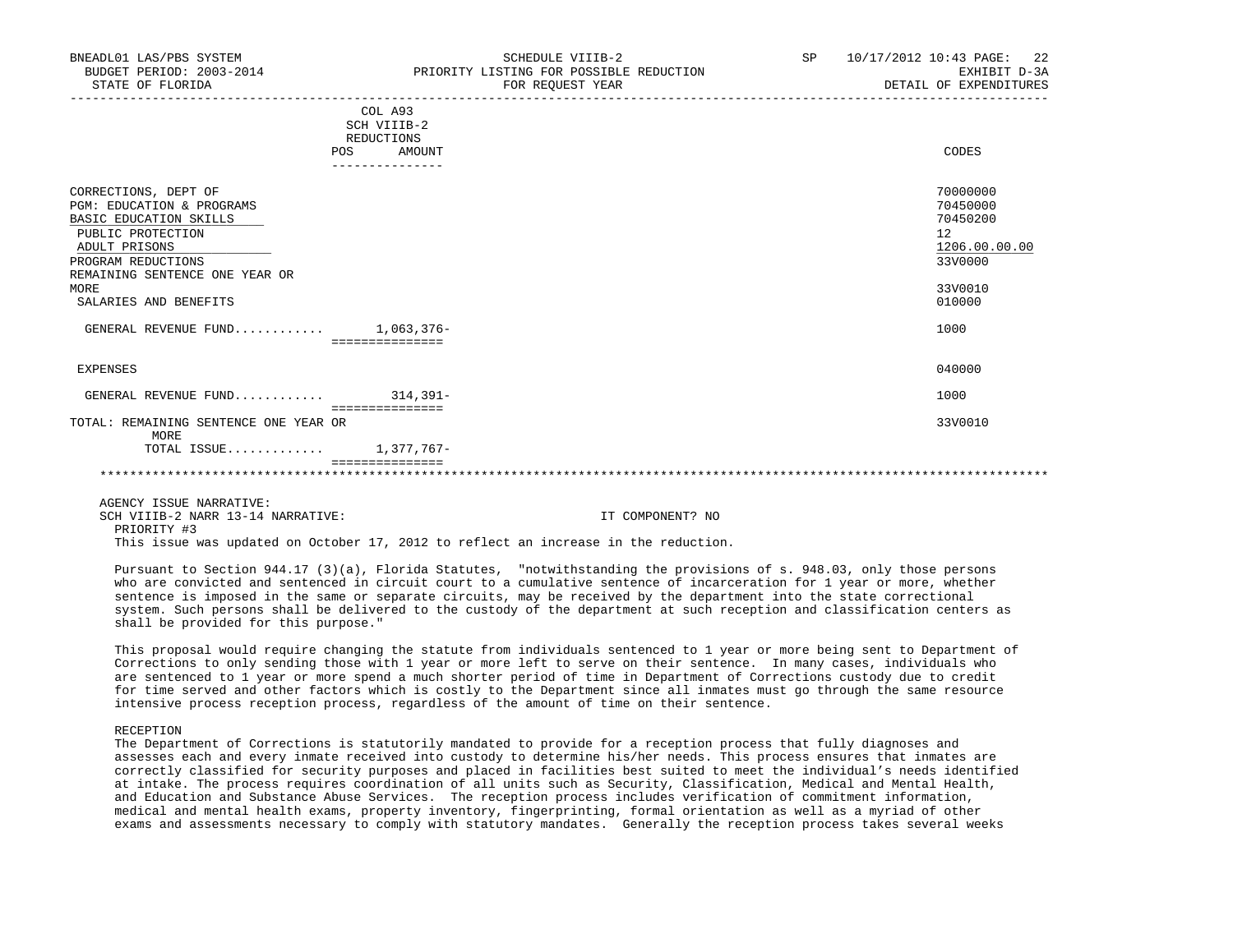|                                                                                                  | COL A93<br>SCH VIIIB-2<br>REDUCTIONS |    |                                  |
|--------------------------------------------------------------------------------------------------|--------------------------------------|----|----------------------------------|
| POS                                                                                              | AMOUNT                               |    | CODES                            |
|                                                                                                  | ---------------                      |    |                                  |
| CORRECTIONS, DEPT OF<br>PGM: EDUCATION & PROGRAMS<br>BASIC EDUCATION SKILLS<br>PUBLIC PROTECTION |                                      | 12 | 70000000<br>70450000<br>70450200 |
| ADULT PRISONS                                                                                    |                                      |    | 1206.00.00.00                    |
| PROGRAM REDUCTIONS                                                                               |                                      |    | 33V0000                          |
| REMAINING SENTENCE ONE YEAR OR                                                                   |                                      |    |                                  |
| MORE                                                                                             |                                      |    | 33V0010                          |
| SALARIES AND BENEFITS                                                                            |                                      |    | 010000                           |
| GENERAL REVENUE FUND $1,063,376-$                                                                | ===============                      |    | 1000                             |
| EXPENSES                                                                                         |                                      |    | 040000                           |
| GENERAL REVENUE FUND                                                                             | 314,391-<br>===============          |    | 1000                             |
| TOTAL: REMAINING SENTENCE ONE YEAR OR<br>MORE                                                    |                                      |    | 33V0010                          |
| TOTAL ISSUE                                                                                      | 1,377,767-                           |    |                                  |
|                                                                                                  |                                      |    |                                  |
|                                                                                                  |                                      |    |                                  |

This issue was updated on October 17, 2012 to reflect an increase in the reduction.

 Pursuant to Section 944.17 (3)(a), Florida Statutes, "notwithstanding the provisions of s. 948.03, only those persons who are convicted and sentenced in circuit court to a cumulative sentence of incarceration for 1 year or more, whether sentence is imposed in the same or separate circuits, may be received by the department into the state correctional system. Such persons shall be delivered to the custody of the department at such reception and classification centers as shall be provided for this purpose."

 This proposal would require changing the statute from individuals sentenced to 1 year or more being sent to Department of Corrections to only sending those with 1 year or more left to serve on their sentence. In many cases, individuals who are sentenced to 1 year or more spend a much shorter period of time in Department of Corrections custody due to credit for time served and other factors which is costly to the Department since all inmates must go through the same resource intensive process reception process, regardless of the amount of time on their sentence.

RECEPTION

 The Department of Corrections is statutorily mandated to provide for a reception process that fully diagnoses and assesses each and every inmate received into custody to determine his/her needs. This process ensures that inmates are correctly classified for security purposes and placed in facilities best suited to meet the individual's needs identified at intake. The process requires coordination of all units such as Security, Classification, Medical and Mental Health, and Education and Substance Abuse Services. The reception process includes verification of commitment information, medical and mental health exams, property inventory, fingerprinting, formal orientation as well as a myriad of other exams and assessments necessary to comply with statutory mandates. Generally the reception process takes several weeks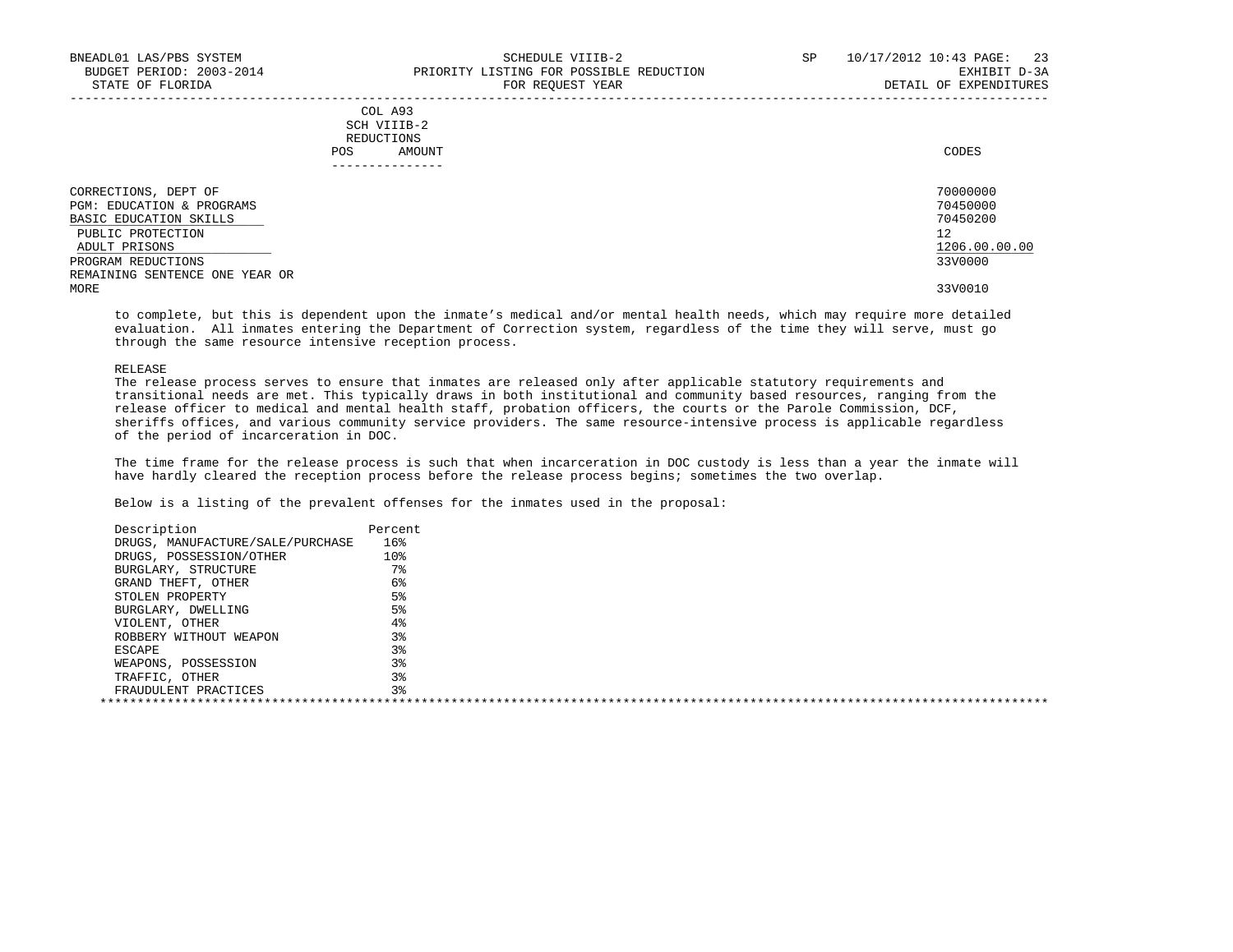| COL A93     |       |
|-------------|-------|
| SCH VIIIB-2 |       |
| REDUCTIONS  |       |
| AMOUNT      | CODES |
|             |       |

| 70000000<br>70450000<br>70450200<br>12<br>1206.00.00.00 |
|---------------------------------------------------------|
| 33V0000<br>33V0010                                      |
|                                                         |

 to complete, but this is dependent upon the inmate's medical and/or mental health needs, which may require more detailed evaluation. All inmates entering the Department of Correction system, regardless of the time they will serve, must go through the same resource intensive reception process.

#### RELEASE

 The release process serves to ensure that inmates are released only after applicable statutory requirements and transitional needs are met. This typically draws in both institutional and community based resources, ranging from the release officer to medical and mental health staff, probation officers, the courts or the Parole Commission, DCF, sheriffs offices, and various community service providers. The same resource-intensive process is applicable regardless of the period of incarceration in DOC.

 The time frame for the release process is such that when incarceration in DOC custody is less than a year the inmate will have hardly cleared the reception process before the release process begins; sometimes the two overlap.

| Description                      | Percent |  |
|----------------------------------|---------|--|
| DRUGS, MANUFACTURE/SALE/PURCHASE | 16%     |  |
| DRUGS, POSSESSION/OTHER          | 10%     |  |
| BURGLARY, STRUCTURE              | $7\,$   |  |
| GRAND THEFT, OTHER               | 6%      |  |
| STOLEN PROPERTY                  | 5%      |  |
| BURGLARY, DWELLING               | 5%      |  |
| VIOLENT, OTHER                   | 4%      |  |
| ROBBERY WITHOUT WEAPON           | 3%      |  |
| ESCAPE                           | 3%      |  |
| WEAPONS, POSSESSION              | 38      |  |
| TRAFFIC, OTHER                   | 3%      |  |
| FRAUDULENT PRACTICES             | 3%      |  |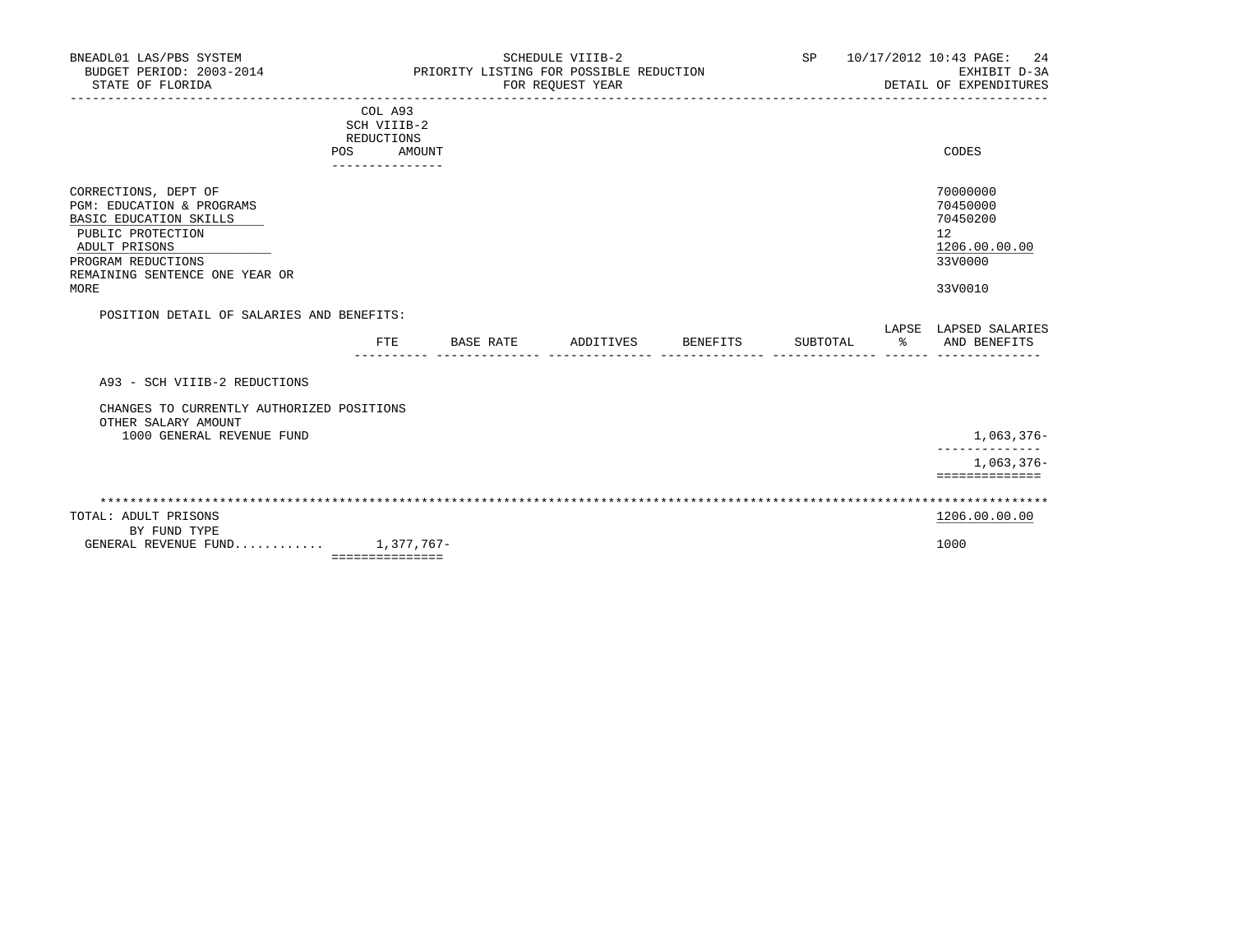| BNEADL01 LAS/PBS SYSTEM<br>BUDGET PERIOD: 2003-2014<br>STATE OF FLORIDA                                                                                                                  | PRIORITY LISTING FOR POSSIBLE REDUCTION                                      | <b>SP</b> |           | 10/17/2012 10:43 PAGE: 24<br>EXHIBIT D-3A<br>DETAIL OF EXPENDITURES |          |          |                                                                               |
|------------------------------------------------------------------------------------------------------------------------------------------------------------------------------------------|------------------------------------------------------------------------------|-----------|-----------|---------------------------------------------------------------------|----------|----------|-------------------------------------------------------------------------------|
|                                                                                                                                                                                          | COL A93<br>SCH VIIIB-2<br><b>REDUCTIONS</b><br><b>POS</b><br>--------------- | AMOUNT    |           |                                                                     |          |          | CODES                                                                         |
| CORRECTIONS, DEPT OF<br>PGM: EDUCATION & PROGRAMS<br>BASIC EDUCATION SKILLS<br>PUBLIC PROTECTION<br>ADULT PRISONS<br>PROGRAM REDUCTIONS<br>REMAINING SENTENCE ONE YEAR OR<br><b>MORE</b> |                                                                              |           |           |                                                                     |          |          | 70000000<br>70450000<br>70450200<br>12<br>1206.00.00.00<br>33V0000<br>33V0010 |
| POSITION DETAIL OF SALARIES AND BENEFITS:                                                                                                                                                |                                                                              |           |           |                                                                     |          |          | LAPSE LAPSED SALARIES                                                         |
|                                                                                                                                                                                          | FTE                                                                          | BASE RATE | ADDITIVES | BENEFITS                                                            | SUBTOTAL | $\sim$ 8 | AND BENEFITS                                                                  |
| A93 - SCH VIIIB-2 REDUCTIONS                                                                                                                                                             |                                                                              |           |           |                                                                     |          |          |                                                                               |
| CHANGES TO CURRENTLY AUTHORIZED POSITIONS<br>OTHER SALARY AMOUNT<br>1000 GENERAL REVENUE FUND                                                                                            |                                                                              |           |           |                                                                     |          |          | $1,063,376-$                                                                  |
|                                                                                                                                                                                          |                                                                              |           |           |                                                                     |          |          | $1,063,376-$<br>==============                                                |
|                                                                                                                                                                                          |                                                                              |           |           |                                                                     |          |          |                                                                               |
| TOTAL: ADULT PRISONS<br>BY FUND TYPE                                                                                                                                                     |                                                                              |           |           |                                                                     |          |          | 1206.00.00.00                                                                 |
| GENERAL REVENUE FUND 1,377,767-                                                                                                                                                          | ===============                                                              |           |           |                                                                     |          |          | 1000                                                                          |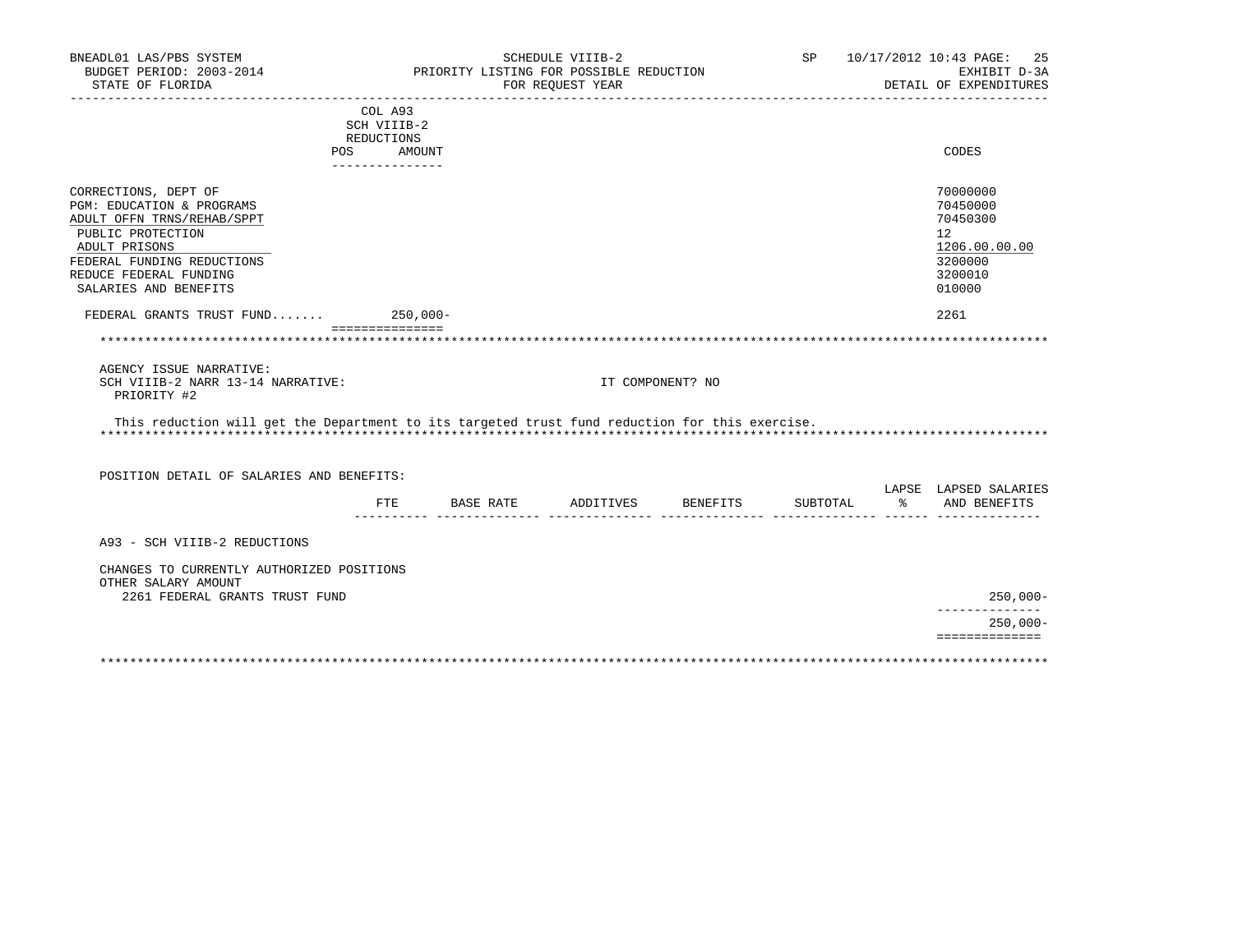| BNEADL01 LAS/PBS SYSTEM<br>BUDGET PERIOD: 2003-2014<br>STATE OF FLORIDA                        |                           | PRIORITY LISTING FOR POSSIBLE REDUCTION | SCHEDULE VIIIB-2<br>FOR REQUEST YEAR |                  |                                                           |      | 25<br>SP 10/17/2012 10:43 PAGE:<br>EXHIBIT D-3A<br>DETAIL OF EXPENDITURES |
|------------------------------------------------------------------------------------------------|---------------------------|-----------------------------------------|--------------------------------------|------------------|-----------------------------------------------------------|------|---------------------------------------------------------------------------|
|                                                                                                | COL A93                   |                                         |                                      |                  |                                                           |      |                                                                           |
|                                                                                                | SCH VIIIB-2               |                                         |                                      |                  |                                                           |      |                                                                           |
|                                                                                                | REDUCTIONS                |                                         |                                      |                  |                                                           |      | <b>CODES</b>                                                              |
| POS.                                                                                           | AMOUNT<br>_______________ |                                         |                                      |                  |                                                           |      |                                                                           |
| CORRECTIONS, DEPT OF                                                                           |                           |                                         |                                      |                  |                                                           |      | 70000000                                                                  |
| PGM: EDUCATION & PROGRAMS                                                                      |                           |                                         |                                      |                  |                                                           |      | 70450000                                                                  |
| ADULT OFFN TRNS/REHAB/SPPT                                                                     |                           |                                         |                                      |                  |                                                           |      | 70450300                                                                  |
| PUBLIC PROTECTION                                                                              |                           |                                         |                                      |                  |                                                           |      | 12                                                                        |
| ADULT PRISONS                                                                                  |                           |                                         |                                      |                  |                                                           |      | 1206.00.00.00                                                             |
| FEDERAL FUNDING REDUCTIONS                                                                     |                           |                                         |                                      |                  |                                                           |      | 3200000                                                                   |
| REDUCE FEDERAL FUNDING<br>SALARIES AND BENEFITS                                                |                           |                                         |                                      |                  |                                                           |      | 3200010<br>010000                                                         |
| FEDERAL GRANTS TRUST FUND 250,000-                                                             |                           |                                         |                                      |                  |                                                           |      | 2261                                                                      |
|                                                                                                | ===============           |                                         |                                      |                  |                                                           |      |                                                                           |
| AGENCY ISSUE NARRATIVE:                                                                        |                           |                                         |                                      |                  |                                                           |      |                                                                           |
| SCH VIIIB-2 NARR 13-14 NARRATIVE:<br>PRIORITY #2                                               |                           |                                         |                                      | IT COMPONENT? NO |                                                           |      |                                                                           |
| This reduction will get the Department to its targeted trust fund reduction for this exercise. |                           |                                         |                                      |                  |                                                           |      |                                                                           |
| POSITION DETAIL OF SALARIES AND BENEFITS:                                                      |                           |                                         |                                      |                  |                                                           |      |                                                                           |
|                                                                                                |                           | FTE BASE RATE                           | ADDITIVES BENEFITS                   |                  | SUBTOTAL<br><u> ------- -------------- ----- --- ----</u> | ော ေ | LAPSE LAPSED SALARIES<br>AND BENEFITS                                     |
| A93 - SCH VIIIB-2 REDUCTIONS                                                                   |                           |                                         |                                      |                  |                                                           |      |                                                                           |
| CHANGES TO CURRENTLY AUTHORIZED POSITIONS<br>OTHER SALARY AMOUNT                               |                           |                                         |                                      |                  |                                                           |      |                                                                           |
| 2261 FEDERAL GRANTS TRUST FUND                                                                 |                           |                                         |                                      |                  |                                                           |      | $250,000 -$                                                               |
|                                                                                                |                           |                                         |                                      |                  |                                                           |      | ---------------<br>$250,000 -$                                            |
|                                                                                                |                           |                                         |                                      |                  |                                                           |      | ==============                                                            |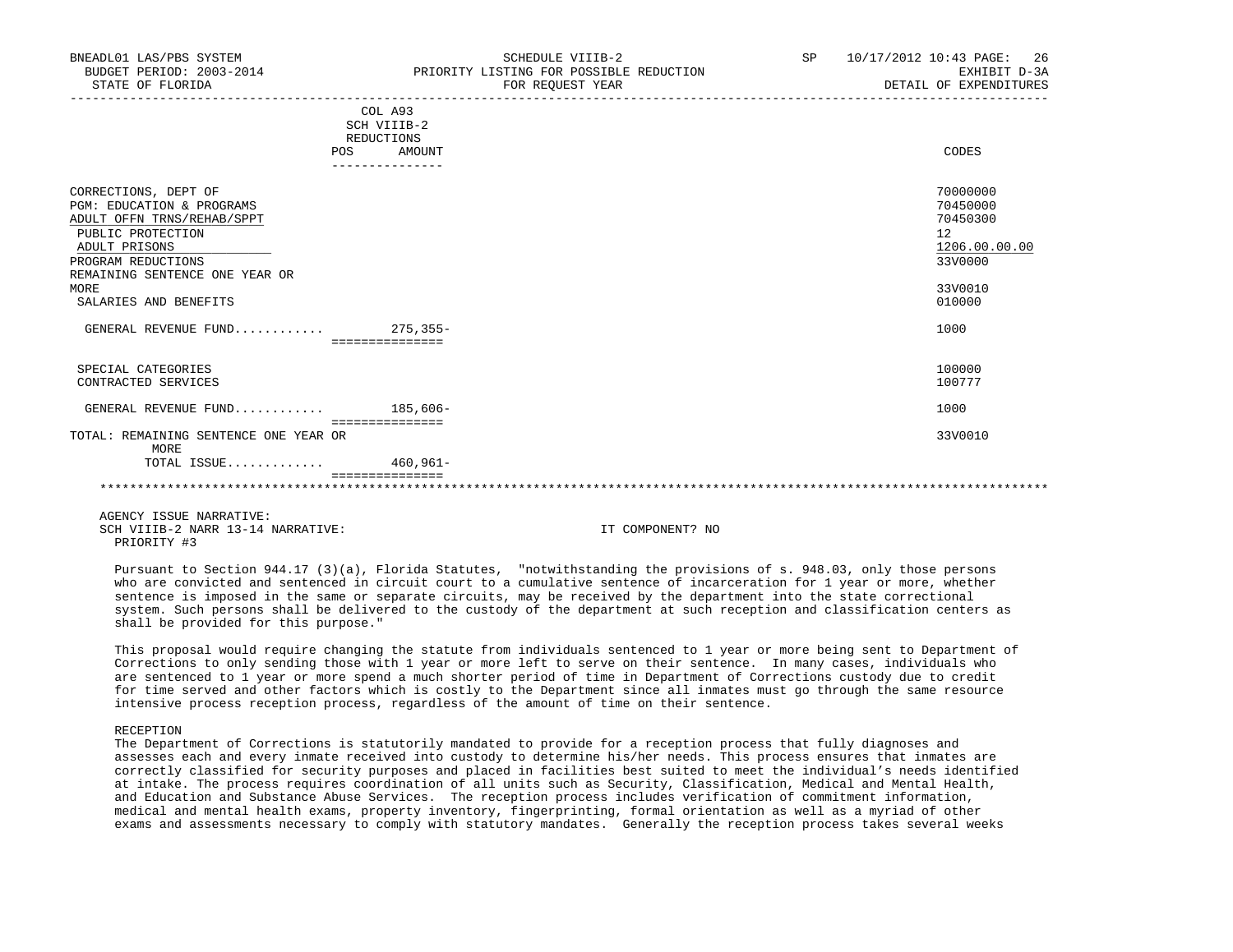| COL A93<br>SCH VIIIB-2<br>REDUCTIONS<br>CODES<br>POS<br>AMOUNT<br>70000000<br>CORRECTIONS, DEPT OF<br>70450000<br>PGM: EDUCATION & PROGRAMS<br>ADULT OFFN TRNS/REHAB/SPPT<br>70450300<br>PUBLIC PROTECTION<br>12<br>ADULT PRISONS<br>1206.00.00.00<br>33V0000<br>PROGRAM REDUCTIONS<br>REMAINING SENTENCE ONE YEAR OR<br>33V0010<br>MORE<br>SALARIES AND BENEFITS<br>010000<br>GENERAL REVENUE FUND $275.355 -$<br>1000<br>===============<br>100000<br>SPECIAL CATEGORIES<br>CONTRACTED SERVICES<br>100777<br>GENERAL REVENUE FUND $185.606 -$<br>1000<br>===============<br>33V0010<br>TOTAL: REMAINING SENTENCE ONE YEAR OR<br>MORE<br>TOTAL ISSUE<br>460,961- |  |  |
|-------------------------------------------------------------------------------------------------------------------------------------------------------------------------------------------------------------------------------------------------------------------------------------------------------------------------------------------------------------------------------------------------------------------------------------------------------------------------------------------------------------------------------------------------------------------------------------------------------------------------------------------------------------------|--|--|
|                                                                                                                                                                                                                                                                                                                                                                                                                                                                                                                                                                                                                                                                   |  |  |
|                                                                                                                                                                                                                                                                                                                                                                                                                                                                                                                                                                                                                                                                   |  |  |
|                                                                                                                                                                                                                                                                                                                                                                                                                                                                                                                                                                                                                                                                   |  |  |
|                                                                                                                                                                                                                                                                                                                                                                                                                                                                                                                                                                                                                                                                   |  |  |
|                                                                                                                                                                                                                                                                                                                                                                                                                                                                                                                                                                                                                                                                   |  |  |
|                                                                                                                                                                                                                                                                                                                                                                                                                                                                                                                                                                                                                                                                   |  |  |
|                                                                                                                                                                                                                                                                                                                                                                                                                                                                                                                                                                                                                                                                   |  |  |
|                                                                                                                                                                                                                                                                                                                                                                                                                                                                                                                                                                                                                                                                   |  |  |
|                                                                                                                                                                                                                                                                                                                                                                                                                                                                                                                                                                                                                                                                   |  |  |
|                                                                                                                                                                                                                                                                                                                                                                                                                                                                                                                                                                                                                                                                   |  |  |
|                                                                                                                                                                                                                                                                                                                                                                                                                                                                                                                                                                                                                                                                   |  |  |
|                                                                                                                                                                                                                                                                                                                                                                                                                                                                                                                                                                                                                                                                   |  |  |
|                                                                                                                                                                                                                                                                                                                                                                                                                                                                                                                                                                                                                                                                   |  |  |
|                                                                                                                                                                                                                                                                                                                                                                                                                                                                                                                                                                                                                                                                   |  |  |
|                                                                                                                                                                                                                                                                                                                                                                                                                                                                                                                                                                                                                                                                   |  |  |
|                                                                                                                                                                                                                                                                                                                                                                                                                                                                                                                                                                                                                                                                   |  |  |
|                                                                                                                                                                                                                                                                                                                                                                                                                                                                                                                                                                                                                                                                   |  |  |
|                                                                                                                                                                                                                                                                                                                                                                                                                                                                                                                                                                                                                                                                   |  |  |
|                                                                                                                                                                                                                                                                                                                                                                                                                                                                                                                                                                                                                                                                   |  |  |
|                                                                                                                                                                                                                                                                                                                                                                                                                                                                                                                                                                                                                                                                   |  |  |
|                                                                                                                                                                                                                                                                                                                                                                                                                                                                                                                                                                                                                                                                   |  |  |

 Pursuant to Section 944.17 (3)(a), Florida Statutes, "notwithstanding the provisions of s. 948.03, only those persons who are convicted and sentenced in circuit court to a cumulative sentence of incarceration for 1 year or more, whether sentence is imposed in the same or separate circuits, may be received by the department into the state correctional system. Such persons shall be delivered to the custody of the department at such reception and classification centers as shall be provided for this purpose."

 This proposal would require changing the statute from individuals sentenced to 1 year or more being sent to Department of Corrections to only sending those with 1 year or more left to serve on their sentence. In many cases, individuals who are sentenced to 1 year or more spend a much shorter period of time in Department of Corrections custody due to credit for time served and other factors which is costly to the Department since all inmates must go through the same resource intensive process reception process, regardless of the amount of time on their sentence.

#### RECEPTION

 The Department of Corrections is statutorily mandated to provide for a reception process that fully diagnoses and assesses each and every inmate received into custody to determine his/her needs. This process ensures that inmates are correctly classified for security purposes and placed in facilities best suited to meet the individual's needs identified at intake. The process requires coordination of all units such as Security, Classification, Medical and Mental Health, and Education and Substance Abuse Services. The reception process includes verification of commitment information, medical and mental health exams, property inventory, fingerprinting, formal orientation as well as a myriad of other exams and assessments necessary to comply with statutory mandates. Generally the reception process takes several weeks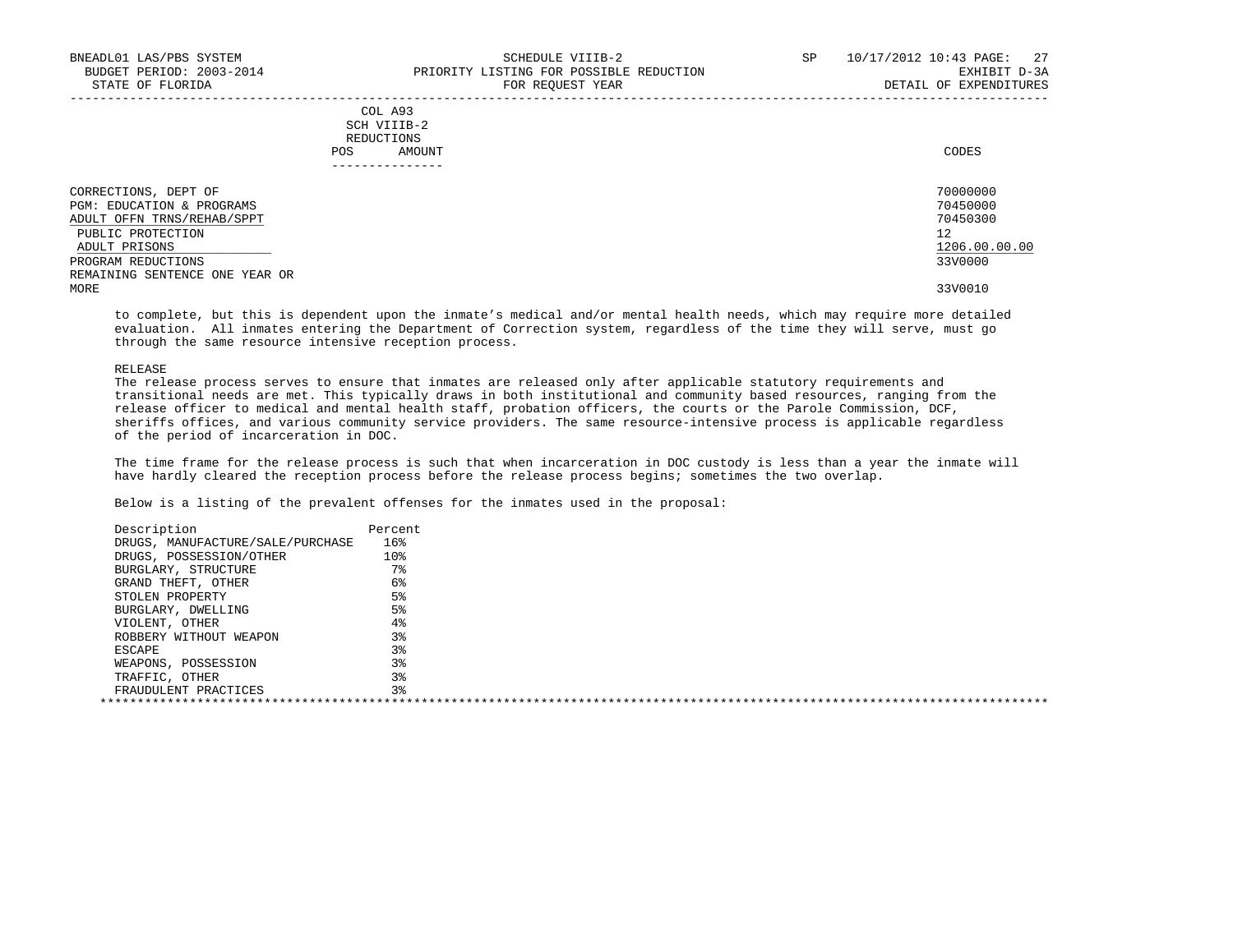|     | --------------- |       |
|-----|-----------------|-------|
| POS | AMOUNT          | CODES |
|     | REDUCTIONS      |       |
|     | SCH VIIIB-2     |       |
|     | COL A93         |       |

| CORRECTIONS, DEPT OF           | 70000000      |
|--------------------------------|---------------|
| PGM: EDUCATION & PROGRAMS      | 70450000      |
| ADULT OFFN TRNS/REHAB/SPPT     | 70450300      |
| PUBLIC PROTECTION              | 12            |
| ADULT PRISONS                  | 1206.00.00.00 |
| PROGRAM REDUCTIONS             | 33V0000       |
| REMAINING SENTENCE ONE YEAR OR |               |
| MORE                           | 33V0010       |

 to complete, but this is dependent upon the inmate's medical and/or mental health needs, which may require more detailed evaluation. All inmates entering the Department of Correction system, regardless of the time they will serve, must go through the same resource intensive reception process.

#### RELEASE

 The release process serves to ensure that inmates are released only after applicable statutory requirements and transitional needs are met. This typically draws in both institutional and community based resources, ranging from the release officer to medical and mental health staff, probation officers, the courts or the Parole Commission, DCF, sheriffs offices, and various community service providers. The same resource-intensive process is applicable regardless of the period of incarceration in DOC.

 The time frame for the release process is such that when incarceration in DOC custody is less than a year the inmate will have hardly cleared the reception process before the release process begins; sometimes the two overlap.

| Description                      | Percent |  |
|----------------------------------|---------|--|
| DRUGS, MANUFACTURE/SALE/PURCHASE | 16%     |  |
| DRUGS, POSSESSION/OTHER          | 10%     |  |
| BURGLARY, STRUCTURE              | $7\,$   |  |
| GRAND THEFT, OTHER               | 6%      |  |
| STOLEN PROPERTY                  | 5%      |  |
| BURGLARY, DWELLING               | 5%      |  |
| VIOLENT, OTHER                   | 4%      |  |
| ROBBERY WITHOUT WEAPON           | 3%      |  |
| ESCAPE                           | 3%      |  |
| WEAPONS, POSSESSION              | 38      |  |
| TRAFFIC, OTHER                   | 3%      |  |
| FRAUDULENT PRACTICES             | 3%      |  |